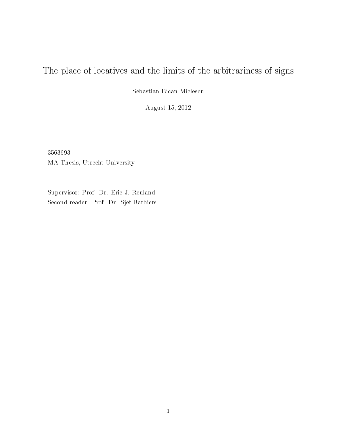# The place of locatives and the limits of the arbitrariness of signs

Sebastian Bican-Miclescu

August 15, 2012

3563693 MA Thesis, Utrecht University

Supervisor: Prof. Dr. Eric J. Reuland Second reader: Prof. Dr. Sjef Barbiers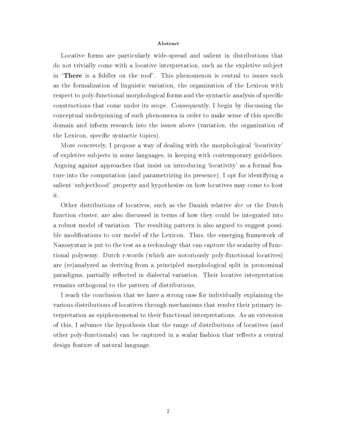#### Abstract

Locative forms are particularly wide-spread and salient in distributions that do not trivially come with a locative interpretation, such as the expletive subject in 'There is a fiddler on the roof'. This phenomenon is central to issues such as the formalization of linguistic variation, the organization of the Lexicon with respect to poly-functional morphological forms and the syntactic analysis of specific constructions that come under its scope. Consequently, I begin by discussing the conceptual underpinning of such phenomena in order to make sense of this specific domain and inform research into the issues above (variation, the organization of the Lexicon, specific syntactic topics).

More concretely, I propose a way of dealing with the morphological 'locativity' of expletive subjects in some languages, in keeping with contemporary guidelines. Arguing against approaches that insist on introducing 'locativity' as a formal feature into the computation (and parametrizing its presence), I opt for identifying a salient `subjecthood' property and hypothesize on how locatives may come to host it.

Other distributions of locatives, such as the Danish relative der or the Dutch function cluster, are also discussed in terms of how they could be integrated into a robust model of variation. The resulting pattern is also argued to suggest possible modifications to our model of the Lexicon. Thus, the emerging framework of Nanosyntax is put to the test as a technology that can capture the scalarity of functional polysemy. Dutch r-words (which are notoriously poly-functional locatives) are (re)analyzed as deriving from a principled morphological split in pronominal paradigms, partially reflected in dialectal variation. Their locative interpretation remains orthogonal to the pattern of distributions.

I reach the conclusion that we have a strong case for individually explaining the various distributions of locatives through mechanisms that render their primary interpretation as epiphenomenal to their functional interpretations. As an extension of this, I advance the hypothesis that the range of distributions of locatives (and other poly-functionals) can be captured in a scalar fashion that reflects a central design feature of natural language.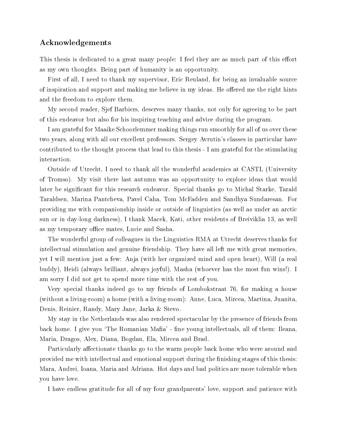## Acknowledgements

This thesis is dedicated to a great many people: I feel they are as much part of this effort as my own thoughts. Being part of humanity is an opportunity.

First of all, I need to thank my supervisor, Eric Reuland, for being an invaluable source of inspiration and support and making me believe in my ideas. He offered me the right hints and the freedom to explore them.

My second reader, Sjef Barbiers, deserves many thanks, not only for agreeing to be part of this endeavor but also for his inspiring teaching and advice during the program.

I am grateful for Maaike Schoorlemmer making things run smoothly for all of us over these two years, along with all our excellent professors. Sergey Avrutin's classes in particular have contributed to the thought process that lead to this thesis - I am grateful for the stimulating interaction.

Outside of Utrecht, I need to thank all the wonderful academics at CASTL (University of Tromso). My visit there last autumn was an opportunity to explore ideas that would later be significant for this research endeavor. Special thanks go to Michal Starke, Tarald Taraldsen, Marina Pantcheva, Pavel Caha, Tom McFadden and Sandhya Sundaresan. For providing me with companionship inside or outside of linguistics (as well as under an arctic sun or in day-long darkness), I thank Macek, Kati, other residents of Breiviklia 13, as well as my temporary office mates, Lucie and Sasha.

The wonderful group of colleagues in the Linguistics RMA at Utrecht deserves thanks for intellectual stimulation and genuine friendship. They have all left me with great memories, yet I will mention just a few: Anja (with her organized mind and open heart), Will (a real buddy), Heidi (always brilliant, always joyful), Masha (whoever has the most fun wins!). I am sorry I did not get to spend more time with the rest of you.

Very special thanks indeed go to my friends of Lombokstraat 76, for making a house (without a living-room) a home (with a living-room): Anne, Luca, Mircea, Martina, Juanita, Denis, Reinier, Randy, Mary Jane, Jarka & Stevo.

My stay in the Netherlands was also rendered spectacular by the presence of friends from back home. I give you 'The Romanian Mafia' - fine young intellectuals, all of them: Ileana, Maria, Dragos, Alex, Diana, Bogdan, Ela, Mircea and Brad.

Particularly affectionate thanks go to the warm people back home who were around and provided me with intellectual and emotional support during the finishing stages of this thesis: Mara, Andrei, Ioana, Maria and Adriana. Hot days and bad politics are more tolerable when you have love.

I have endless gratitude for all of my four grandparents' love, support and patience with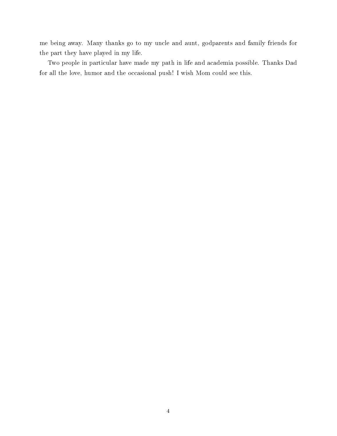me being away. Many thanks go to my uncle and aunt, godparents and family friends for the part they have played in my life.

Two people in particular have made my path in life and academia possible. Thanks Dad for all the love, humor and the occasional push! I wish Mom could see this.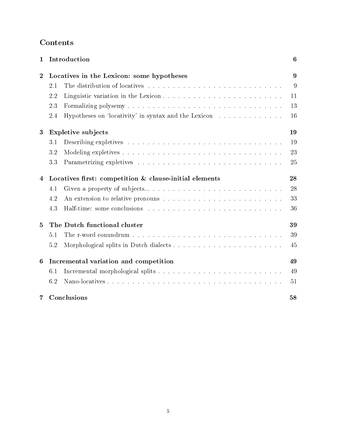## Contents

| $\mathbf 1$      |                                                        | Introduction                                         | $\boldsymbol{6}$ |  |  |
|------------------|--------------------------------------------------------|------------------------------------------------------|------------------|--|--|
| $\boldsymbol{2}$ |                                                        | Locatives in the Lexicon: some hypotheses            | 9                |  |  |
|                  | 2.1                                                    |                                                      | 9                |  |  |
|                  | 2.2                                                    |                                                      | 11               |  |  |
|                  | 2.3                                                    |                                                      | 13               |  |  |
|                  | 2.4                                                    | Hypotheses on 'locativity' in syntax and the Lexicon | 16               |  |  |
| 3                |                                                        | <b>Expletive subjects</b>                            | 19               |  |  |
|                  | 3.1                                                    |                                                      | 19               |  |  |
|                  | 3.2                                                    |                                                      | 23               |  |  |
|                  | 3.3                                                    |                                                      | 25               |  |  |
| 4                | Locatives first: competition & clause-initial elements |                                                      |                  |  |  |
|                  | 4.1                                                    |                                                      | 28               |  |  |
|                  | 4.2                                                    |                                                      | 33               |  |  |
|                  | 4.3                                                    |                                                      | 36               |  |  |
| 5                | The Dutch functional cluster                           |                                                      |                  |  |  |
|                  | 5.1                                                    |                                                      | 39               |  |  |
|                  | 5.2                                                    |                                                      | 45               |  |  |
| 6                | Incremental variation and competition                  |                                                      |                  |  |  |
|                  | 6.1                                                    |                                                      | 49               |  |  |
|                  | 6.2                                                    |                                                      | 51               |  |  |
| 7                |                                                        | Conclusions                                          | 58               |  |  |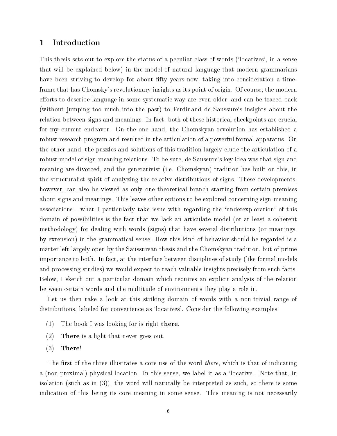## 1 Introduction

This thesis sets out to explore the status of a peculiar class of words (`locatives', in a sense that will be explained below) in the model of natural language that modern grammarians have been striving to develop for about fifty years now, taking into consideration a timeframe that has Chomsky's revolutionary insights as its point of origin. Of course, the modern efforts to describe language in some systematic way are even older, and can be traced back (without jumping too much into the past) to Ferdinand de Saussure's insights about the relation between signs and meanings. In fact, both of these historical checkpoints are crucial for my current endeavor. On the one hand, the Chomskyan revolution has established a robust research program and resulted in the articulation of a powerful formal apparatus. On the other hand, the puzzles and solutions of this tradition largely elude the articulation of a robust model of sign-meaning relations. To be sure, de Saussure's key idea was that sign and meaning are divorced, and the generativist (i.e. Chomskyan) tradition has built on this, in the structuralist spirit of analyzing the relative distributions of signs. These developments, however, can also be viewed as only one theoretical branch starting from certain premises about signs and meanings. This leaves other options to be explored concerning sign-meaning associations - what I particularly take issue with regarding the `underexploration' of this domain of possibilities is the fact that we lack an articulate model (or at least a coherent methodology) for dealing with words (signs) that have several distributions (or meanings, by extension) in the grammatical sense. How this kind of behavior should be regarded is a matter left largely open by the Saussurean thesis and the Chomskyan tradition, but of prime importance to both. In fact, at the interface between disciplines of study (like formal models and processing studies) we would expect to reach valuable insights precisely from such facts. Below, I sketch out a particular domain which requires an explicit analysis of the relation between certain words and the multitude of environments they play a role in.

Let us then take a look at this striking domain of words with a non-trivial range of distributions, labeled for convenience as 'locatives'. Consider the following examples:

- $(1)$  The book I was looking for is right there.
- (2) There is a light that never goes out.
- $(3)$  There!

The first of the three illustrates a core use of the word *there*, which is that of indicating a (non-proximal) physical location. In this sense, we label it as a `locative'. Note that, in isolation (such as in (3)), the word will naturally be interpreted as such, so there is some indication of this being its core meaning in some sense. This meaning is not necessarily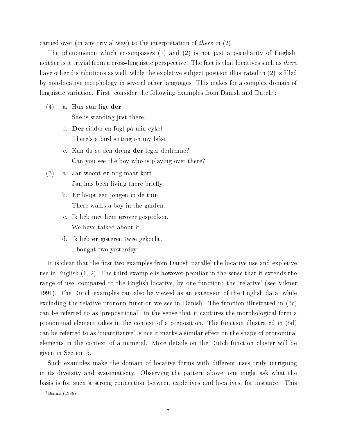carried over (in any trivial way) to the interpretation of there in (2).

The phenomenon which encompasses (1) and (2) is not just a peculiarity of English, neither is it trivial from a cross-linguistic perspective. The fact is that locatives such as there have other distributions as well, while the expletive subject position illustrated in (2) is filled by non-locative morphology in several other languages. This makes for a complex domain of linguistic variation. First, consider the following examples from Danish and Dutch<sup>1</sup>:

- (4) a. Hun star lige der. She is standing just there.
	- b. Der sidder en fugl på min cykel. There's a bird sitting on my bike.
	- c. Kan du se den dreng der leger derhenne? Can you see the boy who is playing over there?
- (5) a. Jan woont er nog maar kort. Jan has been living there briefly.
	- b. Er loopt een jongen in de tuin. There walks a boy in the garden.
	- c. Ik heb met hem erover gesproken. We have talked about it.
	- d. Ik heb er gisteren twee gekocht. I bought two yesterday.

It is clear that the first two examples from Danish parallel the locative use and expletive use in English (1, 2). The third example is however peculiar in the sense that it extends the range of use, compared to the English locative, by one function: the `relative' (see Vikner 1991). The Dutch examples can also be viewed as an extension of the English data, while excluding the relative pronoun function we see in Danish. The function illustrated in (5c) can be referred to as 'prepositional', in the sense that it captures the morphological form a pronominal element takes in the context of a preposition. The function illustrated in (5d) can be referred to as 'quantitative', since it marks a similar effect on the shape of pronominal elements in the context of a numeral. More details on the Dutch function cluster will be given in Section 5.

Such examples make the domain of locative forms with different uses truly intriguing in its diversity and systematicity. Observing the pattern above, one might ask what the basis is for such a strong connection between expletives and locatives, for instance. This

<sup>1</sup>Bennis (1986)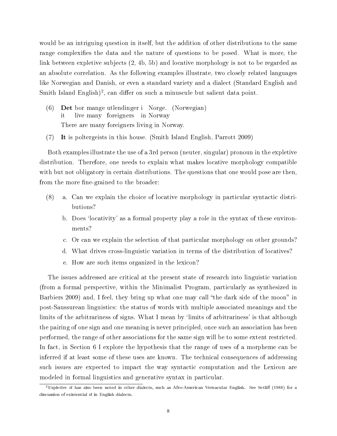would be an intriguing question in itself, but the addition of other distributions to the same range complexifies the data and the nature of questions to be posed. What is more, the link between expletive subjects (2, 4b, 5b) and locative morphology is not to be regarded as an absolute correlation. As the following examples illustrate, two closely related languages like Norwegian and Danish, or even a standard variety and a dialect (Standard English and Smith Island English)<sup>2</sup>, can differ on such a minuscule but salient data point.

- (6) Det bor mange utlendinger i Norge. (Norwegian) it live many foreigners in Norway There are many foreigners living in Norway.
- (7) It is poltergeists in this house. (Smith Island English, Parrott 2009)

Both examples illustrate the use of a 3rd person (neuter, singular) pronoun in the expletive distribution. Therefore, one needs to explain what makes locative morphology compatible with but not obligatory in certain distributions. The questions that one would pose are then, from the more fine-grained to the broader:

- (8) a. Can we explain the choice of locative morphology in particular syntactic distributions?
	- b. Does 'locativity' as a formal property play a role in the syntax of these environments?
	- c. Or can we explain the selection of that particular morphology on other grounds?
	- d. What drives cross-linguistic variation in terms of the distribution of locatives?
	- e. How are such items organized in the lexicon?

The issues addressed are critical at the present state of research into linguistic variation (from a formal perspective, within the Minimalist Program, particularly as synthesized in Barbiers 2009) and, I feel, they bring up what one may call "the dark side of the moon" in post-Saussurean linguistics: the status of words with multiple associated meanings and the limits of the arbitrariness of signs. What I mean by 'limits of arbitrariness' is that although the pairing of one sign and one meaning is never principled, once such an association has been performed, the range of other associations for the same sign will be to some extent restricted. In fact, in Section 6 I explore the hypothesis that the range of uses of a morpheme can be inferred if at least some of these uses are known. The technical consequences of addressing such issues are expected to impact the way syntactic computation and the Lexicon are modeled in formal linguistics and generative syntax in particular.

 ${}^{2}$ Expletive it has also been noted in other dialects, such as Afro-American Vernacular English. See Setliff (1988) for a discussion of existential  $it$  in English dialects.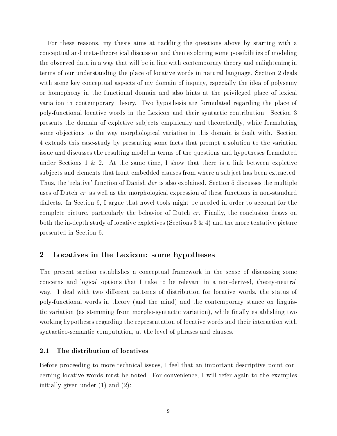For these reasons, my thesis aims at tackling the questions above by starting with a conceptual and meta-theoretical discussion and then exploring some possibilities of modeling the observed data in a way that will be in line with contemporary theory and enlightening in terms of our understanding the place of locative words in natural language. Section 2 deals with some key conceptual aspects of my domain of inquiry, especially the idea of polysemy or homophony in the functional domain and also hints at the privileged place of lexical variation in contemporary theory. Two hypothesis are formulated regarding the place of poly-functional locative words in the Lexicon and their syntactic contribution. Section 3 presents the domain of expletive subjects empirically and theoretically, while formulating some objections to the way morphological variation in this domain is dealt with. Section 4 extends this case-study by presenting some facts that prompt a solution to the variation issue and discusses the resulting model in terms of the questions and hypotheses formulated under Sections  $1 \& 2$ . At the same time, I show that there is a link between expletive subjects and elements that front embedded clauses from where a subject has been extracted. Thus, the 'relative' function of Danish *der* is also explained. Section 5 discusses the multiple uses of Dutch er, as well as the morphological expression of these functions in non-standard dialects. In Section 6, I argue that novel tools might be needed in order to account for the complete picture, particularly the behavior of Dutch er. Finally, the conclusion draws on both the in-depth study of locative expletives (Sections  $3 \& 4$ ) and the more tentative picture presented in Section 6.

## 2 Locatives in the Lexicon: some hypotheses

The present section establishes a conceptual framework in the sense of discussing some concerns and logical options that I take to be relevant in a non-derived, theory-neutral way. I deal with two different patterns of distribution for locative words, the status of poly-functional words in theory (and the mind) and the contemporary stance on linguistic variation (as stemming from morpho-syntactic variation), while finally establishing two working hypotheses regarding the representation of locative words and their interaction with syntactico-semantic computation, at the level of phrases and clauses.

## 2.1 The distribution of locatives

Before proceeding to more technical issues, I feel that an important descriptive point concerning locative words must be noted. For convenience, I will refer again to the examples initially given under (1) and (2):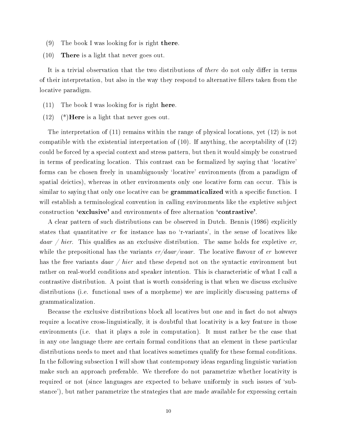- (9) The book I was looking for is right there.
- (10) There is a light that never goes out.

It is a trivial observation that the two distributions of *there* do not only differ in terms of their interpretation, but also in the way they respond to alternative llers taken from the locative paradigm.

- (11) The book I was looking for is right here.
- $(12)$  (\*)**Here** is a light that never goes out.

The interpretation of (11) remains within the range of physical locations, yet (12) is not compatible with the existential interpretation of (10). If anything, the acceptability of (12) could be forced by a special context and stress pattern, but then it would simply be construed in terms of predicating location. This contrast can be formalized by saying that 'locative' forms can be chosen freely in unambiguously `locative' environments (from a paradigm of spatial deictics), whereas in other environments only one locative form can occur. This is similar to saying that only one locative can be **grammaticalized** with a specific function. I will establish a terminological convention in calling environments like the expletive subject construction `exclusive' and environments of free alternation `contrastive'.

A clear pattern of such distributions can be observed in Dutch. Bennis (1986) explicitly states that quantitative  $er$  for instance has no 'r-variants', in the sense of locatives like daar / hier. This qualifies as an exclusive distribution. The same holds for expletive er. while the prepositional has the variants  $er/daar/waar$ . The locative flavour of er however has the free variants  $daar / hier$  and these depend not on the syntactic environment but rather on real-world conditions and speaker intention. This is characteristic of what I call a contrastive distribution. A point that is worth considering is that when we discuss exclusive distributions (i.e. functional uses of a morpheme) we are implicitly discussing patterns of grammaticalization.

Because the exclusive distributions block all locatives but one and in fact do not always require a locative cross-linguistically, it is doubtful that locativity is a key feature in those environments (i.e. that it plays a role in computation). It must rather be the case that in any one language there are certain formal conditions that an element in these particular distributions needs to meet and that locatives sometimes qualify for these formal conditions. In the following subsection I will show that contemporary ideas regarding linguistic variation make such an approach preferable. We therefore do not parametrize whether locativity is required or not (since languages are expected to behave uniformly in such issues of 'substance'), but rather parametrize the strategies that are made available for expressing certain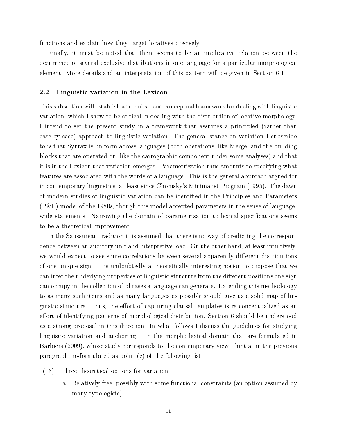functions and explain how they target locatives precisely.

Finally, it must be noted that there seems to be an implicative relation between the occurrence of several exclusive distributions in one language for a particular morphological element. More details and an interpretation of this pattern will be given in Section 6.1.

#### 2.2 Linguistic variation in the Lexicon

This subsection will establish a technical and conceptual framework for dealing with linguistic variation, which I show to be critical in dealing with the distribution of locative morphology. I intend to set the present study in a framework that assumes a principled (rather than case-by-case) approach to linguistic variation. The general stance on variation I subscribe to is that Syntax is uniform across languages (both operations, like Merge, and the building blocks that are operated on, like the cartographic component under some analyses) and that it is in the Lexicon that variation emerges. Parametrization thus amounts to specifying what features are associated with the words of a language. This is the general approach argued for in contemporary linguistics, at least since Chomsky's Minimalist Program (1995). The dawn of modern studies of linguistic variation can be identified in the Principles and Parameters (P&P) model of the 1980s, though this model accepted parameters in the sense of languagewide statements. Narrowing the domain of parametrization to lexical specifications seems to be a theoretical improvement.

In the Saussurean tradition it is assumed that there is no way of predicting the correspondence between an auditory unit and interpretive load. On the other hand, at least intuitively, we would expect to see some correlations between several apparently different distributions of one unique sign. It is undoubtedly a theoretically interesting notion to propose that we can infer the underlying properties of linguistic structure from the different positions one sign can occupy in the collection of phrases a language can generate. Extending this methodology to as many such items and as many languages as possible should give us a solid map of linguistic structure. Thus, the effort of capturing clausal templates is re-conceptualized as an effort of identifying patterns of morphological distribution. Section 6 should be understood as a strong proposal in this direction. In what follows I discuss the guidelines for studying linguistic variation and anchoring it in the morpho-lexical domain that are formulated in Barbiers (2009), whose study corresponds to the contemporary view I hint at in the previous paragraph, re-formulated as point (c) of the following list:

- (13) Three theoretical options for variation:
	- a. Relatively free, possibly with some functional constraints (an option assumed by many typologists)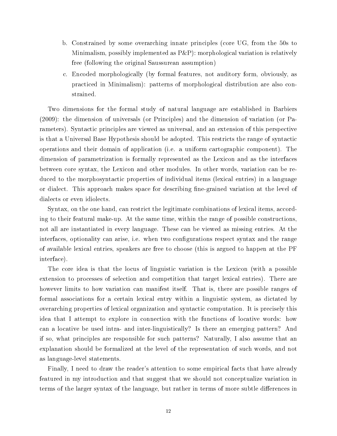- b. Constrained by some overarching innate principles (core UG, from the 50s to Minimalism, possibly implemented as  $P\&P$ ): morphological variation is relatively free (following the original Saussurean assumption)
- c. Encoded morphologically (by formal features, not auditory form, obviously, as practiced in Minimalism): patterns of morphological distribution are also constrained.

Two dimensions for the formal study of natural language are established in Barbiers (2009): the dimension of universals (or Principles) and the dimension of variation (or Parameters). Syntactic principles are viewed as universal, and an extension of this perspective is that a Universal Base Hypothesis should be adopted. This restricts the range of syntactic operations and their domain of application (i.e. a uniform cartographic component). The dimension of parametrization is formally represented as the Lexicon and as the interfaces between core syntax, the Lexicon and other modules. In other words, variation can be reduced to the morphosyntactic properties of individual items (lexical entries) in a language or dialect. This approach makes space for describing fine-grained variation at the level of dialects or even idiolects.

Syntax, on the one hand, can restrict the legitimate combinations of lexical items, according to their featural make-up. At the same time, within the range of possible constructions, not all are instantiated in every language. These can be viewed as missing entries. At the interfaces, optionality can arise, i.e. when two configurations respect syntax and the range of available lexical entries, speakers are free to choose (this is argued to happen at the PF interface).

The core idea is that the locus of linguistic variation is the Lexicon (with a possible extension to processes of selection and competition that target lexical entries). There are however limits to how variation can manifest itself. That is, there are possible ranges of formal associations for a certain lexical entry within a linguistic system, as dictated by overarching properties of lexical organization and syntactic computation. It is precisely this idea that I attempt to explore in connection with the functions of locative words: how can a locative be used intra- and inter-linguistically? Is there an emerging pattern? And if so, what principles are responsible for such patterns? Naturally, I also assume that an explanation should be formalized at the level of the representation of such words, and not as language-level statements.

Finally, I need to draw the reader's attention to some empirical facts that have already featured in my introduction and that suggest that we should not conceptualize variation in terms of the larger syntax of the language, but rather in terms of more subtle differences in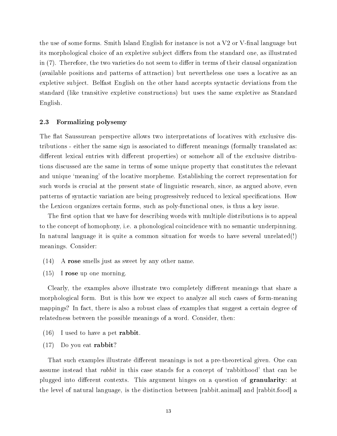the use of some forms. Smith Island English for instance is not a  $V2$  or V-final language but its morphological choice of an expletive subject differs from the standard one, as illustrated in (7). Therefore, the two varieties do not seem to differ in terms of their clausal organization (available positions and patterns of attraction) but nevertheless one uses a locative as an expletive subject. Belfast English on the other hand accepts syntactic deviations from the standard (like transitive expletive constructions) but uses the same expletive as Standard English.

#### 2.3 Formalizing polysemy

The flat Saussurean perspective allows two interpretations of locatives with exclusive distributions - either the same sign is associated to different meanings (formally translated as: different lexical entries with different properties) or somehow all of the exclusive distributions discussed are the same in terms of some unique property that constitutes the relevant and unique 'meaning' of the locative morpheme. Establishing the correct representation for such words is crucial at the present state of linguistic research, since, as argued above, even patterns of syntactic variation are being progressively reduced to lexical specifications. How the Lexicon organizes certain forms, such as poly-functional ones, is thus a key issue.

The first option that we have for describing words with multiple distributions is to appeal to the concept of homophony, i.e. a phonological coincidence with no semantic underpinning. In natural language it is quite a common situation for words to have several unrelated(!) meanings. Consider:

- (14) A rose smells just as sweet by any other name.
- (15) I rose up one morning.

Clearly, the examples above illustrate two completely different meanings that share a morphological form. But is this how we expect to analyze all such cases of form-meaning mappings? In fact, there is also a robust class of examples that suggest a certain degree of relatedness between the possible meanings of a word. Consider, then:

- $(16)$  I used to have a pet **rabbit**.
- (17) Do you eat rabbit?

That such examples illustrate different meanings is not a pre-theoretical given. One can assume instead that *rabbit* in this case stands for a concept of 'rabbithood' that can be plugged into different contexts. This argument hinges on a question of **granularity**: at the level of natural language, is the distinction between [rabbit.animal] and [rabbit.food] a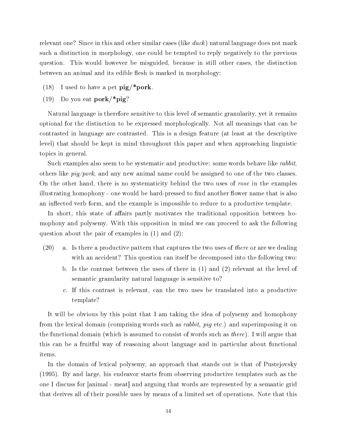relevant one? Since in this and other similar cases (like  $\hat{u}$  atural language does not mark such a distinction in morphology, one could be tempted to reply negatively to the previous question. This would however be misguided, because in still other cases, the distinction between an animal and its edible flesh is marked in morphology:

- (18) I used to have a pet  $\text{pig}$ /\*pork.
- (19) Do you eat pork/\*pig?

Natural language is therefore sensitive to this level of semantic granularity, yet it remains optional for the distinction to be expressed morphologically. Not all meanings that can be contrasted in language are contrasted. This is a design feature (at least at the descriptive level) that should be kept in mind throughout this paper and when approaching linguistic topics in general.

Such examples also seem to be systematic and productive: some words behave like *rabbit*, others like  $pi/port$ , and any new animal name could be assigned to one of the two classes. On the other hand, there is no systematicity behind the two uses of rose in the examples illustrating homophony - one would be hard-pressed to find another flower name that is also an inflected verb form, and the example is impossible to reduce to a productive template.

In short, this state of affairs partly motivates the traditional opposition between homophony and polysemy. With this opposition in mind we can proceed to ask the following question about the pair of examples in (1) and (2):

- $(20)$  a. Is there a productive pattern that captures the two uses of *there* or are we dealing with an accident? This question can itself be decomposed into the following two:
	- b. Is the contrast between the uses of there in (1) and (2) relevant at the level of semantic granularity natural language is sensitive to?
	- c. If this contrast is relevant, can the two uses be translated into a productive template?

It will be obvious by this point that I am taking the idea of polysemy and homophony from the lexical domain (comprising words such as rabbit, pig etc.) and superimposing it on the functional domain (which is assumed to consist of words such as there). I will argue that this can be a fruitful way of reasoning about language and in particular about functional items.

In the domain of lexical polysemy, an approach that stands out is that of Pustejovsky (1995). By and large, his endeavor starts from observing productive templates such as the one I discuss for [animal - meat] and arguing that words are represented by a semantic grid that derives all of their possible uses by means of a limited set of operations. Note that this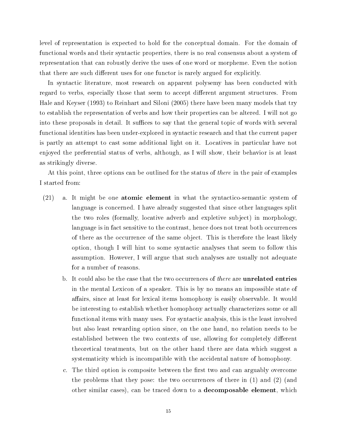level of representation is expected to hold for the conceptual domain. For the domain of functional words and their syntactic properties, there is no real consensus about a system of representation that can robustly derive the uses of one word or morpheme. Even the notion that there are such different uses for one functor is rarely argued for explicitly.

In syntactic literature, most research on apparent polysemy has been conducted with regard to verbs, especially those that seem to accept different argument structures. From Hale and Keyser (1993) to Reinhart and Siloni (2005) there have been many models that try to establish the representation of verbs and how their properties can be altered. I will not go into these proposals in detail. It suffices to say that the general topic of words with several functional identities has been under-explored in syntactic research and that the current paper is partly an attempt to cast some additional light on it. Locatives in particular have not enjoyed the preferential status of verbs, although, as I will show, their behavior is at least as strikingly diverse.

At this point, three options can be outlined for the status of there in the pair of examples I started from:

- (21) a. It might be one atomic element in what the syntactico-semantic system of language is concerned. I have already suggested that since other languages split the two roles (formally, locative adverb and expletive subject) in morphology, language is in fact sensitive to the contrast, hence does not treat both occurrences of there as the occurrence of the same object. This is therefore the least likely option, though I will hint to some syntactic analyses that seem to follow this assumption. However, I will argue that such analyses are usually not adequate for a number of reasons.
	- b. It could also be the case that the two occurrences of *there* are **unrelated entries** in the mental Lexicon of a speaker. This is by no means an impossible state of affairs, since at least for lexical items homophony is easily observable. It would be interesting to establish whether homophony actually characterizes some or all functional items with many uses. For syntactic analysis, this is the least involved but also least rewarding option since, on the one hand, no relation needs to be established between the two contexts of use, allowing for completely different theoretical treatments, but on the other hand there are data which suggest a systematicity which is incompatible with the accidental nature of homophony.
	- c. The third option is composite between the first two and can arguably overcome the problems that they pose: the two occurrences of there in (1) and (2) (and other similar cases), can be traced down to a decomposable element, which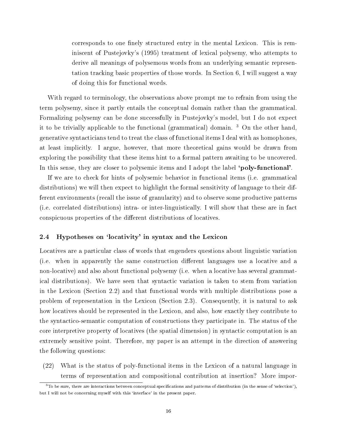corresponds to one finely structured entry in the mental Lexicon. This is reminiscent of Pustejovky's (1995) treatment of lexical polysemy, who attempts to derive all meanings of polysemous words from an underlying semantic representation tracking basic properties of those words. In Section 6, I will suggest a way of doing this for functional words.

With regard to terminology, the observations above prompt me to refrain from using the term polysemy, since it partly entails the conceptual domain rather than the grammatical. Formalizing polysemy can be done successfully in Pustejovky's model, but I do not expect it to be trivially applicable to the functional (grammatical) domain. <sup>3</sup> On the other hand, generative syntacticians tend to treat the class of functional items I deal with as homophones, at least implicitly. I argue, however, that more theoretical gains would be drawn from exploring the possibility that these items hint to a formal pattern awaiting to be uncovered. In this sense, they are closer to polysemic items and I adopt the label **'poly-functional'**.

If we are to check for hints of polysemic behavior in functional items (i.e. grammatical distributions) we will then expect to highlight the formal sensitivity of language to their different environments (recall the issue of granularity) and to observe some productive patterns (i.e. correlated distributions) intra- or inter-linguistically. I will show that these are in fact conspicuous properties of the different distributions of locatives.

#### 2.4 Hypotheses on 'locativity' in syntax and the Lexicon

Locatives are a particular class of words that engenders questions about linguistic variation (i.e. when in apparently the same construction different languages use a locative and a non-locative) and also about functional polysemy (i.e. when a locative has several grammatical distributions). We have seen that syntactic variation is taken to stem from variation in the Lexicon (Section 2.2) and that functional words with multiple distributions pose a problem of representation in the Lexicon (Section 2.3). Consequently, it is natural to ask how locatives should be represented in the Lexicon, and also, how exactly they contribute to the syntactico-semantic computation of constructions they participate in. The status of the core interpretive property of locatives (the spatial dimension) in syntactic computation is an extremely sensitive point. Therefore, my paper is an attempt in the direction of answering the following questions:

(22) What is the status of poly-functional items in the Lexicon of a natural language in terms of representation and compositional contribution at insertion? More impor-

 $3$ To be sure, there are interactions between conceptual specifications and patterns of distribution (in the sense of 'selection'), but I will not be concerning myself with this 'interface' in the present paper.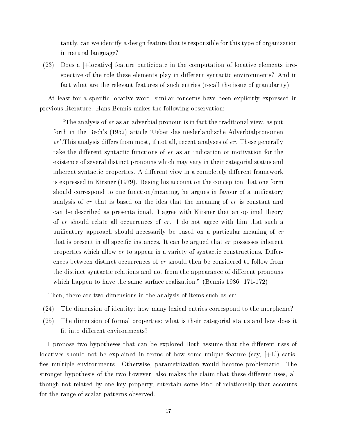tantly, can we identify a design feature that is responsible for this type of organization in natural language?

(23) Does a [+locative] feature participate in the computation of locative elements irrespective of the role these elements play in different syntactic environments? And in fact what are the relevant features of such entries (recall the issue of granularity).

At least for a specific locative word, similar concerns have been explicitly expressed in previous literature. Hans Bennis makes the following observation:

"The analysis of  $er$  as an adverbial pronoun is in fact the traditional view, as put forth in the Bech's (1952) article `Ueber das niederlandische Adverbialpronomen  $er$ . This analysis differs from most, if not all, recent analyses of  $er$ . These generally take the different syntactic functions of  $er$  as an indication or motivation for the existence of several distinct pronouns which may vary in their categorial status and inherent syntactic properties. A different view in a completely different framework is expressed in Kirsner (1979). Basing his account on the conception that one form should correspond to one function/meaning, he argues in favour of a unificatory analysis of er that is based on the idea that the meaning of er is constant and can be described as presentational. I agree with Kirsner that an optimal theory of er should relate all occurrences of er. I do not agree with him that such a unificatory approach should necessarily be based on a particular meaning of er that is present in all specific instances. It can be argued that  $er$  possesses inherent properties which allow  $er$  to appear in a variety of syntactic constructions. Differences between distinct occurrences of er should then be considered to follow from the distinct syntactic relations and not from the appearance of different pronouns which happen to have the same surface realization." (Bennis 1986:  $171-172$ )

Then, there are two dimensions in the analysis of items such as er:

- (24) The dimension of identity: how many lexical entries correspond to the morpheme?
- (25) The dimension of formal properties: what is their categorial status and how does it fit into different environments?

I propose two hypotheses that can be explored Both assume that the different uses of locatives should not be explained in terms of how some unique feature (say,  $[+L]$ ) satisfies multiple environments. Otherwise, parametrization would become problematic. The stronger hypothesis of the two however, also makes the claim that these different uses, although not related by one key property, entertain some kind of relationship that accounts for the range of scalar patterns observed.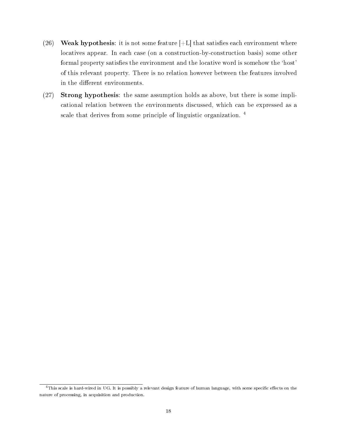- (26) Weak hypothesis: it is not some feature  $[+L]$  that satisfies each environment where locatives appear. In each case (on a construction-by-construction basis) some other formal property satisfies the environment and the locative word is somehow the 'host' of this relevant property. There is no relation however between the features involved in the different environments.
- (27) Strong hypothesis: the same assumption holds as above, but there is some implicational relation between the environments discussed, which can be expressed as a scale that derives from some principle of linguistic organization.<sup>4</sup>

<sup>&</sup>lt;sup>4</sup>This scale is hard-wired in UG. It is possibly a relevant design feature of human language, with some specific effects on the nature of processing, in acquisition and production.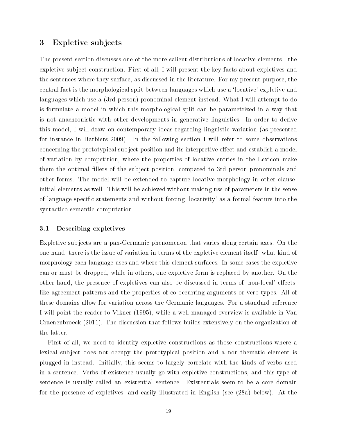## 3 Expletive subjects

The present section discusses one of the more salient distributions of locative elements - the expletive subject construction. First of all, I will present the key facts about expletives and the sentences where they surface, as discussed in the literature. For my present purpose, the central fact is the morphological split between languages which use a `locative' expletive and languages which use a (3rd person) pronominal element instead. What I will attempt to do is formulate a model in which this morphological split can be parametrized in a way that is not anachronistic with other developments in generative linguistics. In order to derive this model, I will draw on contemporary ideas regarding linguistic variation (as presented for instance in Barbiers 2009). In the following section I will refer to some observations concerning the prototypical subject position and its interpretive effect and establish a model of variation by competition, where the properties of locative entries in the Lexicon make them the optimal fillers of the subject position, compared to 3rd person pronominals and other forms. The model will be extended to capture locative morphology in other clauseinitial elements as well. This will be achieved without making use of parameters in the sense of language-specific statements and without forcing 'locativity' as a formal feature into the syntactico-semantic computation.

#### 3.1 Describing expletives

Expletive subjects are a pan-Germanic phenomenon that varies along certain axes. On the one hand, there is the issue of variation in terms of the expletive element itself: what kind of morphology each language uses and where this element surfaces. In some cases the expletive can or must be dropped, while in others, one expletive form is replaced by another. On the other hand, the presence of expletives can also be discussed in terms of 'non-local' effects, like agreement patterns and the properties of co-occurring arguments or verb types. All of these domains allow for variation across the Germanic languages. For a standard reference I will point the reader to Vikner (1995), while a well-managed overview is available in Van Craenenbroeck (2011). The discussion that follows builds extensively on the organization of the latter.

First of all, we need to identify expletive constructions as those constructions where a lexical subject does not occupy the prototypical position and a non-thematic element is plugged in instead. Initially, this seems to largely correlate with the kinds of verbs used in a sentence. Verbs of existence usually go with expletive constructions, and this type of sentence is usually called an existential sentence. Existentials seem to be a core domain for the presence of expletives, and easily illustrated in English (see (28a) below). At the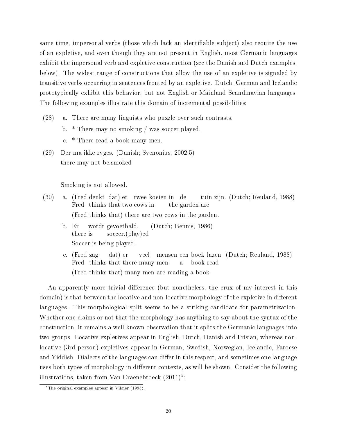same time, impersonal verbs (those which lack an identifiable subject) also require the use of an expletive, and even though they are not present in English, most Germanic languages exhibit the impersonal verb and expletive construction (see the Danish and Dutch examples, below). The widest range of constructions that allow the use of an expletive is signaled by transitive verbs occurring in sentences fronted by an expletive. Dutch, German and Icelandic prototypically exhibit this behavior, but not English or Mainland Scandinavian languages. The following examples illustrate this domain of incremental possibilities:

- (28) a. There are many linguists who puzzle over such contrasts.
	- b. \* There may no smoking / was soccer played.
	- c. \* There read a book many men.
- (29) Der ma ikke ryges. (Danish; Svenonius, 2002:5) there may not be.smoked

Smoking is not allowed.

- (30) a. (Fred denkt dat) er Fred thinks that two cows in twee koeien in de the garden are tuin zijn. (Dutch; Reuland, 1988) (Fred thinks that) there are two cows in the garden.
	- b. Er there is wordt gevoetbald. soccer.(play)ed (Dutch; Bennis, 1986) Soccer is being played.
	- c. (Fred zag Fred thinks that there many men dat) er veel mensen een boek lazen. (Dutch; Reuland, 1988) a book read (Fred thinks that) many men are reading a book.

An apparently more trivial difference (but nonetheless, the crux of my interest in this domain) is that between the locative and non-locative morphology of the expletive in different languages. This morphological split seems to be a striking candidate for parametrization. Whether one claims or not that the morphology has anything to say about the syntax of the construction, it remains a well-known observation that it splits the Germanic languages into two groups. Locative expletives appear in English, Dutch, Danish and Frisian, whereas nonlocative (3rd person) expletives appear in German, Swedish, Norwegian, Icelandic, Faroese and Yiddish. Dialects of the languages can differ in this respect, and sometimes one language uses both types of morphology in different contexts, as will be shown. Consider the following illustrations, taken from Van Craenebroeck  $(2011)^5$ :

 $5$ The original examples appear in Vikner (1995).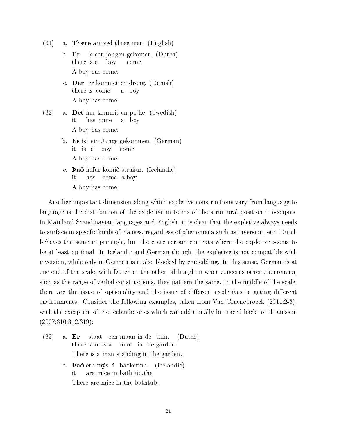- $(31)$  a. **There** arrived three men. (English)
	- b. Er there is a is een jongen gekomen. (Dutch) boy come A boy has come.
	- c. Der er kommet en dreng. (Danish) there is come a boy A boy has come.
- (32) a. Det har kommit en pojke. (Swedish) it has come a boy A boy has come.
	- b. Es ist ein Junge gekommen. (German) it is a boy come A boy has come.
	- c. **Það** hefur komið strákur. (Icelandic) it has come a.boy A boy has come.

Another important dimension along which expletive constructions vary from language to language is the distribution of the expletive in terms of the structural position it occupies. In Mainland Scandinavian languages and English, it is clear that the expletive always needs to surface in specific kinds of clauses, regardless of phenomena such as inversion, etc. Dutch behaves the same in principle, but there are certain contexts where the expletive seems to be at least optional. In Icelandic and German though, the expletive is not compatible with inversion, while only in German is it also blocked by embedding. In this sense, German is at one end of the scale, with Dutch at the other, although in what concerns other phenomena, such as the range of verbal constructions, they pattern the same. In the middle of the scale, there are the issue of optionality and the issue of different expletives targeting different environments. Consider the following examples, taken from Van Craenebroeck (2011:2-3), with the exception of the Icelandic ones which can additionally be traced back to Thráinsson (2007:310,312,319):

- (33) a. Er there stands a staat een maan in de tuin. man in the garden (Dutch) There is a man standing in the garden.
	- b. **Það** eru mýs í baðkerinu. (Icelandic) it are mice in bathtub.the There are mice in the bathtub.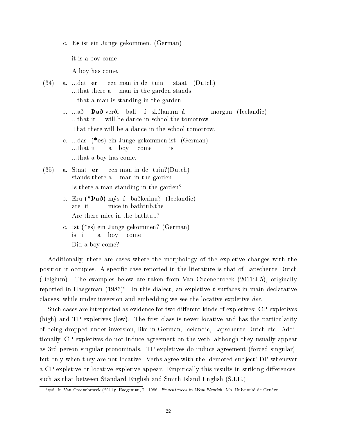c. Es ist ein Junge gekommen. (German)

it is a boy come

A boy has come.

- (34) a. ...dat er ...that there a een man in de tuin man in the garden stands staat. (Dutch) ...that a man is standing in the garden.
	- b. ...að ...that it **Það** verði ball í skólanum á will.be dance in school.the tomorrow morgun. (Icelandic) That there will be a dance in the school tomorrow.
	- c. ...das (\*es) ein Junge gekommen ist. (German) ...that it a boy come is ...that a boy has come.
- (35) a. Staat er stands there a een man in de tuin?(Dutch) man in the garden Is there a man standing in the garden?
	- b. Eru (\*Það) mýs í baðkerinu? (Icelandic) are it mice in bathtub.the Are there mice in the bathtub?
	- c. Ist (\*es) ein Junge gekommen? (German) is it a boy come Did a boy come?

Additionally, there are cases where the morphology of the expletive changes with the position it occupies. A specific case reported in the literature is that of Lapscheure Dutch (Belgium). The examples below are taken from Van Craenebroeck (2011:4-5), originally reported in Haegeman  $(1986)^6$ . In this dialect, an expletive t surfaces in main declarative clauses, while under inversion and embedding we see the locative expletive der.

Such cases are interpreted as evidence for two different kinds of expletives: CP-expletives  $(high)$  and TP-expletives (low). The first class is never locative and has the particularity of being dropped under inversion, like in German, Icelandic, Lapscheure Dutch etc. Additionally, CP-expletives do not induce agreement on the verb, although they usually appear as 3rd person singular pronominals. TP-expletives do induce agreement (forced singular), but only when they are not locative. Verbs agree with the `demoted-subject' DP whenever a CP-expletive or locative expletive appear. Empirically this results in striking differences, such as that between Standard English and Smith Island English (S.I.E.):

 $^6$ qtd. in Van Craenebroeck (2011): Haegeman, L. 1986. Er-sentences in West Flemish. Ms. Université de Genève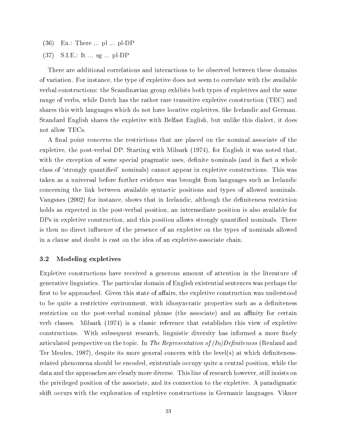- (36) En.: There ... pl ... pl-DP
- (37) S.I.E.: It ... sg ... pl-DP

There are additional correlations and interactions to be observed between these domains of variation. For instance, the type of expletive does not seem to correlate with the available verbal constructions: the Scandinavian group exhibits both types of expletives and the same range of verbs, while Dutch has the rather rare transitive expletive construction (TEC) and shares this with languages which do not have locative expletives, like Icelandic and German. Standard English shares the expletive with Belfast English, but unlike this dialect, it does not allow TECs.

A final point concerns the restrictions that are placed on the nominal associate of the expletive, the post-verbal DP. Starting with Milsark (1974), for English it was noted that, with the exception of some special pragmatic uses, definite nominals (and in fact a whole class of 'strongly quantified' nominals) cannot appear in expletive constructions. This was taken as a universal before further evidence was brought from languages such as Icelandic concerning the link between available syntactic positions and types of allowed nominals. Vangsnes (2002) for instance, shows that in Icelandic, although the deniteness restriction holds as expected in the post-verbal position, an intermediate position is also available for DPs in expletive construction, and this position allows strongly quantified nominals. There is then no direct influence of the presence of an expletive on the types of nominals allowed in a clause and doubt is cast on the idea of an expletive-associate chain.

#### 3.2 Modeling expletives

Expletive constructions have received a generous amount of attention in the literature of generative linguistics. The particular domain of English existential sentences was perhaps the first to be approached. Given this state of affairs, the expletive construction was understood to be quite a restrictive environment, with idiosyncratic properties such as a deniteness restriction on the post-verbal nominal phrase (the associate) and an affinity for certain verb classes. Milsark (1974) is a classic reference that establishes this view of expletive constructions. With subsequent research, linguistic diversity has informed a more finely articulated perspective on the topic. In The Representation of  $(In)$ Definiteness (Reuland and Ter Meulen, 1987), despite its more general concern with the level(s) at which definitenessrelated phenomena should be encoded, existentials occupy quite a central position, while the data and the approaches are clearly more diverse. This line of research however, still insists on the privileged position of the associate, and its connection to the expletive. A paradigmatic shift occurs with the exploration of expletive constructions in Germanic languages. Vikner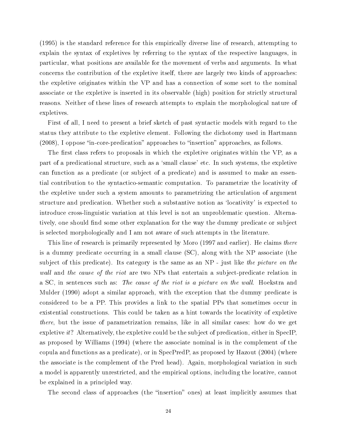(1995) is the standard reference for this empirically diverse line of research, attempting to explain the syntax of expletives by referring to the syntax of the respective languages, in particular, what positions are available for the movement of verbs and arguments. In what concerns the contribution of the expletive itself, there are largely two kinds of approaches: the expletive originates within the VP and has a connection of some sort to the nominal associate or the expletive is inserted in its observable (high) position for strictly structural reasons. Neither of these lines of research attempts to explain the morphological nature of expletives.

First of all, I need to present a brief sketch of past syntactic models with regard to the status they attribute to the expletive element. Following the dichotomy used in Hartmann  $(2008)$ , I oppose "in-core-predication" approaches to "insertion" approaches, as follows.

The first class refers to proposals in which the expletive originates within the VP, as a part of a predicational structure, such as a 'small clause' etc. In such systems, the expletive can function as a predicate (or subject of a predicate) and is assumed to make an essential contribution to the syntactico-semantic computation. To parametrize the locativity of the expletive under such a system amounts to parametrizing the articulation of argument structure and predication. Whether such a substantive notion as 'locativity' is expected to introduce cross-linguistic variation at this level is not an unproblematic question. Alternatively, one should find some other explanation for the way the dummy predicate or subject is selected morphologically and I am not aware of such attempts in the literature.

This line of research is primarily represented by Moro (1997 and earlier). He claims there is a dummy predicate occurring in a small clause (SC), along with the NP associate (the subject of this predicate). Its category is the same as an NP - just like the picture on the wall and the cause of the riot are two NPs that entertain a subject-predicate relation in a SC, in sentences such as: The cause of the riot is a picture on the wall. Hoekstra and Mulder (1990) adopt a similar approach, with the exception that the dummy predicate is considered to be a PP. This provides a link to the spatial PPs that sometimes occur in existential constructions. This could be taken as a hint towards the locativity of expletive there, but the issue of parametrization remains, like in all similar cases: how do we get expletive it? Alternatively, the expletive could be the subject of predication, either in SpecIP, as proposed by Williams (1994) (where the associate nominal is in the complement of the copula and functions as a predicate), or in SpecPredP, as proposed by Hazout (2004) (where the associate is the complement of the Pred head). Again, morphological variation in such a model is apparently unrestricted, and the empirical options, including the locative, cannot be explained in a principled way.

The second class of approaches (the "insertion" ones) at least implicitly assumes that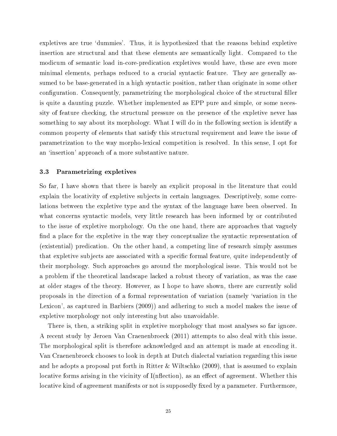expletives are true 'dummies'. Thus, it is hypothesized that the reasons behind expletive insertion are structural and that these elements are semantically light. Compared to the modicum of semantic load in-core-predication expletives would have, these are even more minimal elements, perhaps reduced to a crucial syntactic feature. They are generally assumed to be base-generated in a high syntactic position, rather than originate in some other configuration. Consequently, parametrizing the morphological choice of the structural filler is quite a daunting puzzle. Whether implemented as EPP pure and simple, or some necessity of feature checking, the structural pressure on the presence of the expletive never has something to say about its morphology. What I will do in the following section is identify a common property of elements that satisfy this structural requirement and leave the issue of parametrization to the way morpho-lexical competition is resolved. In this sense, I opt for an 'insertion' approach of a more substantive nature.

## 3.3 Parametrizing expletives

So far, I have shown that there is barely an explicit proposal in the literature that could explain the locativity of expletive subjects in certain languages. Descriptively, some correlations between the expletive type and the syntax of the language have been observed. In what concerns syntactic models, very little research has been informed by or contributed to the issue of expletive morphology. On the one hand, there are approaches that vaguely find a place for the expletive in the way they conceptualize the syntactic representation of (existential) predication. On the other hand, a competing line of research simply assumes that expletive subjects are associated with a specific formal feature, quite independently of their morphology. Such approaches go around the morphological issue. This would not be a problem if the theoretical landscape lacked a robust theory of variation, as was the case at older stages of the theory. However, as I hope to have shown, there are currently solid proposals in the direction of a formal representation of variation (namely `variation in the Lexicon', as captured in Barbiers (2009)) and adhering to such a model makes the issue of expletive morphology not only interesting but also unavoidable.

There is, then, a striking split in expletive morphology that most analyses so far ignore. A recent study by Jeroen Van Craenenbroeck (2011) attempts to also deal with this issue. The morphological split is therefore acknowledged and an attempt is made at encoding it. Van Craenenbroeck chooses to look in depth at Dutch dialectal variation regarding this issue and he adopts a proposal put forth in Ritter & Wiltschko (2009), that is assumed to explain locative forms arising in the vicinity of  $I(n\text{flection})$ , as an effect of agreement. Whether this locative kind of agreement manifests or not is supposedly fixed by a parameter. Furthermore,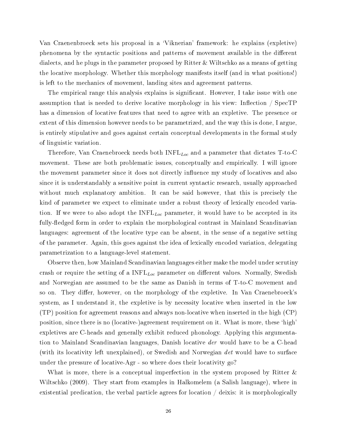Van Craenenbroeck sets his proposal in a `Viknerian' framework: he explains (expletive) phenomena by the syntactic positions and patterns of movement available in the different dialects, and he plugs in the parameter proposed by Ritter & Wiltschko as a means of getting the locative morphology. Whether this morphology manifests itself (and in what positions!) is left to the mechanics of movement, landing sites and agreement patterns.

The empirical range this analysis explains is significant. However, I take issue with one assumption that is needed to derive locative morphology in his view: Inflection  $\frac{\ }{\ }$  SpecTP has a dimension of locative features that need to agree with an expletive. The presence or extent of this dimension however needs to be parametrized, and the way this is done, I argue, is entirely stipulative and goes against certain conceptual developments in the formal study of linguistic variation.

Therefore, Van Craenebroeck needs both  $INFL_{Loc}$  and a parameter that dictates T-to-C movement. These are both problematic issues, conceptually and empirically. I will ignore the movement parameter since it does not directly influence my study of locatives and also since it is understandably a sensitive point in current syntactic research, usually approached without much explanatory ambition. It can be said however, that this is precisely the kind of parameter we expect to eliminate under a robust theory of lexically encoded variation. If we were to also adopt the  $INFL_{Loc}$  parameter, it would have to be accepted in its fully-fledged form in order to explain the morphological contrast in Mainland Scandinavian languages: agreement of the locative type can be absent, in the sense of a negative setting of the parameter. Again, this goes against the idea of lexically encoded variation, delegating parametrization to a language-level statement.

Observe then, how Mainland Scandinavian languages either make the model under scrutiny crash or require the setting of a  $INFL<sub>Loc</sub>$  parameter on different values. Normally, Swedish and Norwegian are assumed to be the same as Danish in terms of T-to-C movement and so on. They differ, however, on the morphology of the expletive. In Van Craenebroeck's system, as I understand it, the expletive is by necessity locative when inserted in the low (TP) position for agreement reasons and always non-locative when inserted in the high (CP) position, since there is no (locative-)agreement requirement on it. What is more, these `high' expletives are C-heads and generally exhibit reduced phonology. Applying this argumentation to Mainland Scandinavian languages, Danish locative der would have to be a C-head (with its locativity left unexplained), or Swedish and Norwegian det would have to surface under the pressure of locative-Agr - so where does their locativity go?

What is more, there is a conceptual imperfection in the system proposed by Ritter & Wiltschko (2009). They start from examples in Halkomelem (a Salish language), where in existential predication, the verbal particle agrees for location / deixis: it is morphologically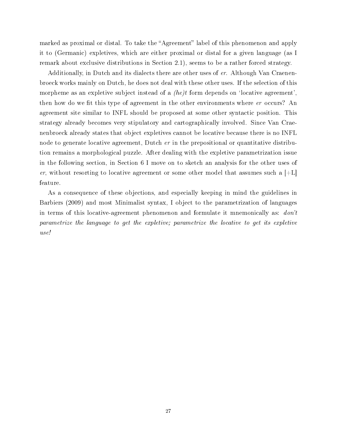marked as proximal or distal. To take the "Agreement" label of this phenomenon and apply it to (Germanic) expletives, which are either proximal or distal for a given language (as I remark about exclusive distributions in Section 2.1), seems to be a rather forced strategy.

Additionally, in Dutch and its dialects there are other uses of er. Although Van Craenenbroeck works mainly on Dutch, he does not deal with these other uses. If the selection of this morpheme as an expletive subject instead of a  $(he)t$  form depends on 'locative agreement', then how do we fit this type of agreement in the other environments where er occurs? An agreement site similar to INFL should be proposed at some other syntactic position. This strategy already becomes very stipulatory and cartographically involved. Since Van Craenenbroeck already states that object expletives cannot be locative because there is no INFL node to generate locative agreement, Dutch er in the prepositional or quantitative distribution remains a morphological puzzle. After dealing with the expletive parametrization issue in the following section, in Section 6 I move on to sketch an analysis for the other uses of er, without resorting to locative agreement or some other model that assumes such a  $|+L|$ feature.

As a consequence of these objections, and especially keeping in mind the guidelines in Barbiers (2009) and most Minimalist syntax, I object to the parametrization of languages in terms of this locative-agreement phenomenon and formulate it mnemonically as: don't parametrize the language to get the expletive; parametrize the locative to get its expletive use!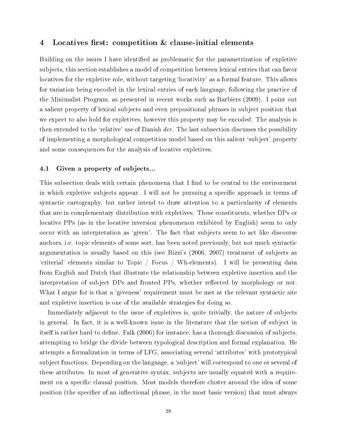## 4 Locatives first: competition & clause-initial elements

Building on the issues I have identified as problematic for the parametrization of expletive subjects, this section establishes a model of competition between lexical entries that can favor locatives for the expletive role, without targeting 'locativity' as a formal feature. This allows for variation being encoded in the lexical entries of each language, following the practice of the Minimalist Program, as presented in recent works such as Barbiers (2009). I point out a salient property of lexical subjects and even prepositional phrases in subject position that we expect to also hold for expletives, however this property may be encoded. The analysis is then extended to the 'relative' use of Danish *der*. The last subsection discusses the possibility of implementing a morphological competition model based on this salient `subject' property and some consequences for the analysis of locative expletives.

#### 4.1 Given a property of subjects...

This subsection deals with certain phenomena that I find to be central to the environment in which expletive subjects appear. I will not be pursuing a specific approach in terms of syntactic cartography, but rather intend to draw attention to a particularity of elements that are in complementary distribution with expletives. These constituents, whether DPs or locative PPs (as in the locative inversion phenomenon exhibited by English) seem to only occur with an interpretation as `given'. The fact that subjects seem to act like discourse anchors, i.e. topic elements of some sort, has been noted previously, but not much syntactic argumentation is usually based on this (see Rizzi's (2006, 2007) treatment of subjects as `criterial' elements similar to Topic / Focus / Wh-elements). I will be presenting data from English and Dutch that illustrate the relationship between expletive insertion and the interpretation of subject DPs and fronted PPs, whether reflected by morphology or not. What I argue for is that a 'giveness' requirement must be met at the relevant syntactic site and expletive insertion is one of the available strategies for doing so.

Immediately adjacent to the issue of expletives is, quite trivially, the nature of subjects in general. In fact, it is a well-known issue in the literature that the notion of subject in itself is rather hard to define. Falk (2006) for instance, has a thorough discussion of subjects. attempting to bridge the divide between typological description and formal explanation. He attempts a formalization in terms of LFG, associating several `attributes' with prototypical subject functions. Depending on the language, a 'subject' will correspond to one or several of these attributes. In most of generative syntax, subjects are usually equated with a requirement on a specific clausal position. Most models therefore cluster around the idea of some position (the specifier of an inflectional phrase, in the most basic version) that must always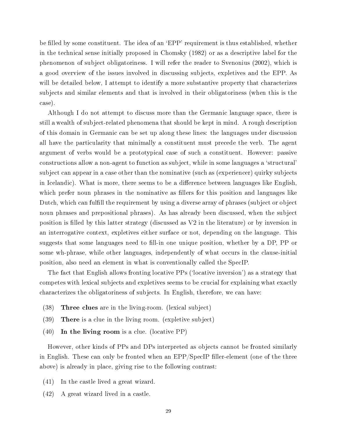be filled by some constituent. The idea of an 'EPP' requirement is thus established, whether in the technical sense initially proposed in Chomsky (1982) or as a descriptive label for the phenomenon of subject obligatoriness. I will refer the reader to Svenonius (2002), which is a good overview of the issues involved in discussing subjects, expletives and the EPP. As will be detailed below, I attempt to identify a more substantive property that characterizes subjects and similar elements and that is involved in their obligatoriness (when this is the case).

Although I do not attempt to discuss more than the Germanic language space, there is still a wealth of subject-related phenomena that should be kept in mind. A rough description of this domain in Germanic can be set up along these lines: the languages under discussion all have the particularity that minimally a constituent must precede the verb. The agent argument of verbs would be a prototypical case of such a constituent. However: passive constructions allow a non-agent to function as subject, while in some languages a `structural' subject can appear in a case other than the nominative (such as (experiencer) quirky subjects in Icelandic). What is more, there seems to be a difference between languages like English. which prefer noun phrases in the nominative as fillers for this position and languages like Dutch, which can fulll the requirement by using a diverse array of phrases (subject or object noun phrases and prepositional phrases). As has already been discussed, when the subject position is lled by this latter strategy (discussed as V2 in the literature) or by inversion in an interrogative context, expletives either surface or not, depending on the language. This suggests that some languages need to fill-in one unique position, whether by a DP, PP or some wh-phrase, while other languages, independently of what occurs in the clause-initial position, also need an element in what is conventionally called the SpecIP.

The fact that English allows fronting locative PPs (`locative inversion') as a strategy that competes with lexical subjects and expletives seems to be crucial for explaining what exactly characterizes the obligatoriness of subjects. In English, therefore, we can have:

- (38) Three clues are in the living-room. (lexical subject)
- (39) There is a clue in the living room. (expletive subject)
- $(40)$  In the living room is a clue. (locative PP)

However, other kinds of PPs and DPs interpreted as objects cannot be fronted similarly in English. These can only be fronted when an  $EPP/SpecIP$  filler-element (one of the three above) is already in place, giving rise to the following contrast:

- (41) In the castle lived a great wizard.
- (42) A great wizard lived in a castle.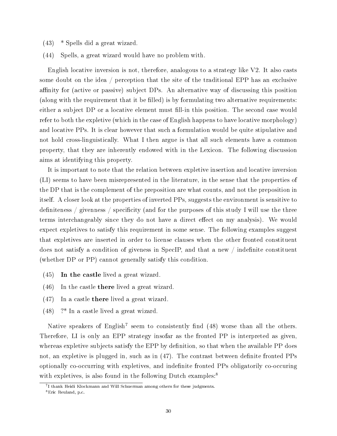- (43) \* Spells did a great wizard.
- (44) Spells, a great wizard would have no problem with.

English locative inversion is not, therefore, analogous to a strategy like V2. It also casts some doubt on the idea / perception that the site of the traditional EPP has an exclusive affinity for (active or passive) subject DPs. An alternative way of discussing this position (along with the requirement that it be filled) is by formulating two alternative requirements: either a subject DP or a locative element must fill-in this position. The second case would refer to both the expletive (which in the case of English happens to have locative morphology) and locative PPs. It is clear however that such a formulation would be quite stipulative and not hold cross-linguistically. What I then argue is that all such elements have a common property, that they are inherently endowed with in the Lexicon. The following discussion aims at identifying this property.

It is important to note that the relation between expletive insertion and locative inversion (LI) seems to have been misrepresented in the literature, in the sense that the properties of the DP that is the complement of the preposition are what counts, and not the preposition in itself. A closer look at the properties of inverted PPs, suggests the environment is sensitive to definiteness / givenness / specificity (and for the purposes of this study I will use the three terms interchangeably since they do not have a direct effect on my analysis). We would expect expletives to satisfy this requirement in some sense. The following examples suggest that expletives are inserted in order to license clauses when the other fronted constituent does not satisfy a condition of giveness in SpecIP, and that a new  $\int$  indefinite constituent (whether DP or PP) cannot generally satisfy this condition.

- (45) In the castle lived a great wizard.
- (46) In the castle there lived a great wizard.
- (47) In a castle there lived a great wizard.
- (48) ?\* In a castle lived a great wizard.

Native speakers of English<sup>7</sup> seem to consistently find  $(48)$  worse than all the others. Therefore, LI is only an EPP strategy insofar as the fronted PP is interpreted as given, whereas expletive subjects satisfy the EPP by definition, so that when the available PP does not, an expletive is plugged in, such as in  $(47)$ . The contrast between definite fronted PPs optionally co-occurring with expletives, and indenite fronted PPs obligatorily co-occuring with expletives, is also found in the following Dutch examples:<sup>8</sup>

<sup>7</sup> I thank Heidi Klockmann and Will Schuerman among others for these judgments.

<sup>8</sup>Eric Reuland, p.c.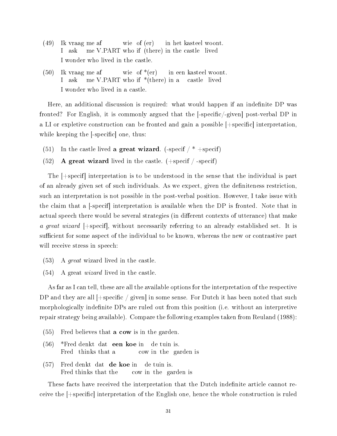- $(49)$ I vraag me af ask me V.PART who if (there) in the castle wie of (er) in het kasteel woont. lived I wonder who lived in the castle.
- $(50)$ I ask vraag me af me V.PART who if \*(there) in a wie of  $*(er)$ in een kasteel woont. castle lived I wonder who lived in a castle.

Here, an additional discussion is required: what would happen if an indefinite DP was fronted? For English, it is commonly argued that the  $\lceil -\text{specific} / - \text{given} \rceil$  post-verbal DP in a LI or expletive construction can be fronted and gain a possible  $[+specific]$  interpretation. while keeping the  $\vert$ -specific, one, thus:

- (51) In the castle lived a great wizard. (-specif  $/*$  +specif)
- (52) A great wizard lived in the castle.  $(+$ specif  $/-$ specif)

The [+specif] interpretation is to be understood in the sense that the individual is part of an already given set of such individuals. As we expect, given the deniteness restriction, such an interpretation is not possible in the post-verbal position. However, I take issue with the claim that a [-specif] interpretation is available when the DP is fronted. Note that in actual speech there would be several strategies (in different contexts of utterance) that make a great wizard  $|+$ specif. without necessarily referring to an already established set. It is sufficient for some aspect of the individual to be known, whereas the new or contrastive part will receive stress in speech:

- (53) A great wizard lived in the castle.
- (54) A great wizard lived in the castle.

As far as I can tell, these are all the available options for the interpretation of the respective DP and they are all  $|+\text{specific} / \text{given}|$  in some sense. For Dutch it has been noted that such morphologically indefinite DPs are ruled out from this position (i.e. without an interpretive repair strategy being available). Compare the following examples taken from Reuland (1988):

- (55) Fred believes that a cow is in the garden.
- (56) \*Fred denkt dat een koe in Fred thinks that a cow in the garden is de tuin is.
- (57) Fred denkt dat de koe in Fred thinks that the cow in the garden is de tuin is.

These facts have received the interpretation that the Dutch indefinite article cannot receive the  $[+$ specific interpretation of the English one, hence the whole construction is ruled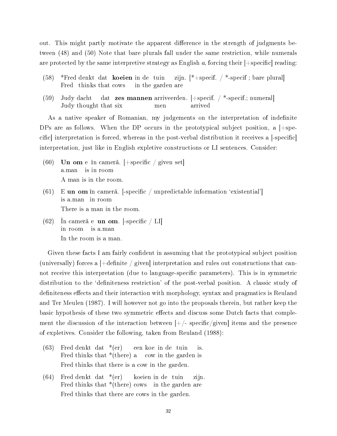out. This might partly motivate the apparent difference in the strength of judgments between (48) and (50) Note that bare plurals fall under the same restriction, while numerals are protected by the same interpretive strategy as English a, forcing their  $|+$ specific reading:

- (58) \*Fred denkt dat koeien in de tuin Fred thinks that cows in the garden are zijn. [\*+specif. / \*-specif ; bare plural]
- (59) Judy dacht Judy thought that six dat zes mannen arriveerden. [+specif. / \*-specif.; numeral] men arrived

As a native speaker of Romanian, my judgements on the interpretation of indefinite DPs are as follows. When the DP occurs in the prototypical subject position, a  $[+$ specific interpretation is forced, whereas in the post-verbal distribution it receives a -specific interpretation, just like in English expletive constructions or LI sentences. Consider:

- $(60)$  Un om e în cameră. [+specific / given set] a.man is in room A man is in the room.
- $(61)$ is a.man in room **un om** în cameră.  $\left[ -\text{specific} \middle/ \text{unpredictable information 'existential' } \right]$ There is a man in the room.
- $(62)$ in room is a.man cameră e  $\,$ **un om.** [-specific / LI] In the room is a man.

Given these facts I am fairly confident in assuming that the prototypical subject position (universally) forces a  $[+definite \ / given]$  interpretation and rules out constructions that cannot receive this interpretation (due to language-specific parameters). This is in symmetric distribution to the 'definiteness restriction' of the post-verbal position. A classic study of definiteness effects and their interaction with morphology, syntax and pragmatics is Reuland and Ter Meulen (1987). I will however not go into the proposals therein, but rather keep the basic hypothesis of these two symmetric effects and discuss some Dutch facts that complement the discussion of the interaction between  $|+/-$  specific/given items and the presence of expletives. Consider the following, taken from Reuland (1988):

- $(63)$  Fred denkt dat \*(er) Fred thinks that \*(there) a cow in the garden is een koe in de tuin is. Fred thinks that there is a cow in the garden.
- $(64)$  Fred denkt dat \*(er) Fred thinks that \*(there) cows in the garden are koeien in de tuin zijn. Fred thinks that there are cows in the garden.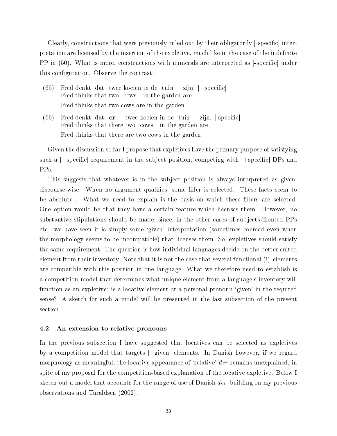Clearly, constructions that were previously ruled out by their obligatorily l-specific interpretation are licensed by the insertion of the expletive, much like in the case of the indenite PP in (50). What is more, constructions with numerals are interpreted as [-specific] under this configuration. Observe the contrast:

- (65) Fred denkt dat twee koeien in de tuin Fred thinks that two cows in the garden are zijn. [+specific] Fred thinks that two cows are in the garden
- (66) Fred denkt dat er Fred thinks that there two cows in the garden are twee koeien in de tuin zijn. [-specific] Fred thinks that there are two cows in the garden

Given the discussion so far I propose that expletives have the primary purpose of satisfying such a  $|+\text{specific}|$  requirement in the subject position, competing with  $|+\text{specific}|$  DPs and PPs.

This suggests that whatever is in the subject position is always interpreted as given, discourse-wise. When no argument qualifies, some filler is selected. These facts seem to be absolute. What we need to explain is the basis on which these fillers are selected. One option would be that they have a certain feature which licenses them. However, no substantive stipulations should be made, since, in the other cases of subjects/fronted PPs etc. we have seen it is simply some 'given' interpretation (sometimes coerced even when the morphology seems to be incompatible) that licenses them. So, expletives should satisfy the same requirement. The question is how individual languages decide on the better suited element from their inventory. Note that it is not the case that several functional (!) elements are compatible with this position in one language. What we therefore need to establish is a competition model that determines what unique element from a language's inventory will function as an expletive: is a locative element or a personal pronoun 'given' in the required sense? A sketch for such a model will be presented in the last subsection of the present section.

## 4.2 An extension to relative pronouns

In the previous subsection I have suggested that locatives can be selected as expletives by a competition model that targets [+given] elements. In Danish however, if we regard morphology as meaningful, the locative appearance of 'relative' der remains unexplained, in spite of my proposal for the competition-based explanation of the locative expletive. Below I sketch out a model that accounts for the range of use of Danish der, building on my previous observations and Taraldsen (2002).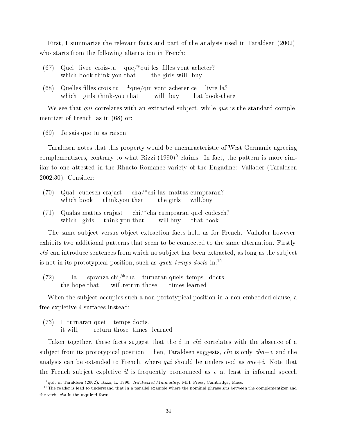First, I summarize the relevant facts and part of the analysis used in Taraldsen (2002), who starts from the following alternation in French:

- (67) Quel livre crois-tu que/\*qui les lles vont acheter? which book think-you that the girls will buy
- (68) Quelles lles crois-tu which girls think-you that  $\text{*que/qui vont achter ce}$ will buy that book-there livre-la?

We see that qui correlates with an extracted subject, while que is the standard complementizer of French, as in (68) or:

(69) Je sais que tu as raison.

Taraldsen notes that this property would be uncharacteristic of West Germanic agreeing complementizers, contrary to what Rizzi  $(1990)^9$  claims. In fact, the pattern is more similar to one attested in the Rhaeto-Romance variety of the Engadine: Vallader (Taraldsen 2002:30). Consider:

- (70) Qual cudesch crajast which book think.you that cha/\*chi las mattas cumpraran? the girls will.buy
- (71) Qualas mattas crajast which girls think.you that chi/\*cha cumpraran quel cudesch? will.buy that book

The same subject versus object extraction facts hold as for French. Vallader however, exhibits two additional patterns that seem to be connected to the same alternation. Firstly, *chi* can introduce sentences from which no subject has been extracted, as long as the subject is not in its prototypical position, such as *quels temps docts* in:<sup>10</sup>

 $(72)$ the hope that la spranza chi/\*cha turnaran quels temps docts. will.return those times learned

When the subject occupies such a non-prototypical position in a non-embedded clause, a free expletive i surfaces instead:

(73) I turnaran quei it will, return those times learned temps docts.

Taken together, these facts suggest that the i in *chi* correlates with the absence of a subject from its prototypical position. Then, Taraldsen suggests, *chi* is only  $cha+i$ , and the analysis can be extended to French, where *qui* should be understood as  $que+i$ . Note that the French subject expletive *il* is frequently pronounced as *i*, at least in informal speech

 $^{9}$ qtd. in Taraldsen (2002): Rizzi, L. 1990. Relativized Minimality. MIT Press, Cambridge, Mass.

 $10$ The reader is lead to understand that in a parallel example where the nominal phrase sits between the complementizer and the verb, cha is the required form.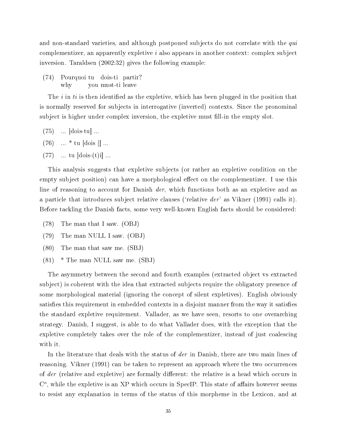and non-standard varieties, and although postponed subjects do not correlate with the qui complementizer, an apparently expletive i also appears in another context: complex subject inversion. Taraldsen (2002:32) gives the following example:

(74) Pourquoi tu dois-ti partir? why you must-ti leave

The i in ti is then identified as the expletive, which has been plugged in the position that is normally reserved for subjects in interrogative (inverted) contexts. Since the pronominal subject is higher under complex inversion, the expletive must fill-in the empty slot.

- (75) ... [dois-tu] ...
- $(76)$  ... \* tu  $[{\rm dois}]]...$
- $(77)$  ... tu  $[dois-(t)i]$  ...

This analysis suggests that expletive subjects (or rather an expletive condition on the empty subject position) can have a morphological effect on the complementizer. I use this line of reasoning to account for Danish *der*, which functions both as an expletive and as a particle that introduces subject relative clauses ('relative  $der'$  as Vikner (1991) calls it). Before tackling the Danish facts, some very well-known English facts should be considered:

- (78) The man that I saw. (OBJ)
- (79) The man NULL I saw. (OBJ)
- (80) The man that saw me. (SBJ)
- $(81)$  \* The man NULL saw me.  $(SBJ)$

The asymmetry between the second and fourth examples (extracted object vs extracted subject) is coherent with the idea that extracted subjects require the obligatory presence of some morphological material (ignoring the concept of silent expletives). English obviously satisfies this requirement in embedded contexts in a disjoint manner from the way it satisfies the standard expletive requirement. Vallader, as we have seen, resorts to one overarching strategy. Danish, I suggest, is able to do what Vallader does, with the exception that the expletive completely takes over the role of the complementizer, instead of just coalescing with it.

In the literature that deals with the status of der in Danish, there are two main lines of reasoning. Vikner (1991) can be taken to represent an approach where the two occurrences of der (relative and expletive) are formally different: the relative is a head which occurs in  $C<sup>o</sup>$ , while the expletive is an XP which occurs in SpecIP. This state of affairs however seems to resist any explanation in terms of the status of this morpheme in the Lexicon, and at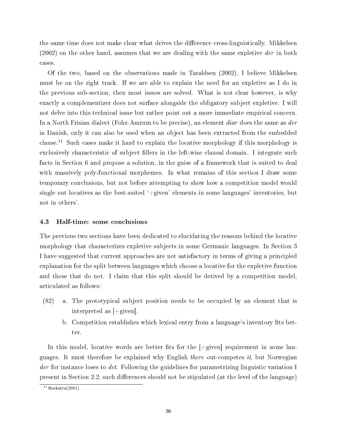the same time does not make clear what drives the difference cross-linguistically. Mikkelsen  $(2002)$  on the other hand, assumes that we are dealing with the same expletive der in both cases.

Of the two, based on the observations made in Taraldsen (2002), I believe Mikkelsen must be on the right track. If we are able to explain the need for an expletive as I do in the previous sub-section, then most issues are solved. What is not clear however, is why exactly a complementizer does not surface alongside the obligatory subject expletive. I will not delve into this technical issue but rather point out a more immediate empirical concern. In a North Frisian dialect (Fohr-Amrum to be precise), an element *diar* does the same as *der* in Danish, only it can also be used when an object has been extracted from the embedded clause.<sup>11</sup> Such cases make it hard to explain the locative morphology if this morphology is exclusively characteristic of subject fillers in the left-wise clausal domain. I integrate such facts in Section 6 and propose a solution, in the guise of a framework that is suited to deal with massively poly-functional morphemes. In what remains of this section I draw some temporary conclusions, but not before attempting to show how a competition model would single out locatives as the best-suited '+given' elements in some languages' inventories, but not in others'.

## 4.3 Half-time: some conclusions

The previous two sections have been dedicated to elucidating the reasons behind the locative morphology that characterizes expletive subjects in some Germanic languages. In Section 3 I have suggested that current approaches are not satisfactory in terms of giving a principled explanation for the split between languages which choose a locative for the expletive function and those that do not. I claim that this split should be derived by a competition model, articulated as follows:

- (82) a. The prototypical subject position needs to be occupied by an element that is interpreted as [+given].
	- b. Competition establishes which lexical entry from a language's inventory fits better.

In this model, locative words are better fits for the  $|+\text{given}|$  requirement in some languages. It must therefore be explained why English *there* out-competes *it*, but Norwegian der for instance loses to det. Following the guidelines for parametrizing linguistic variation I present in Section 2.2, such differences should not be stipulated (at the level of the language)

 $11$ Hoekstra(2001)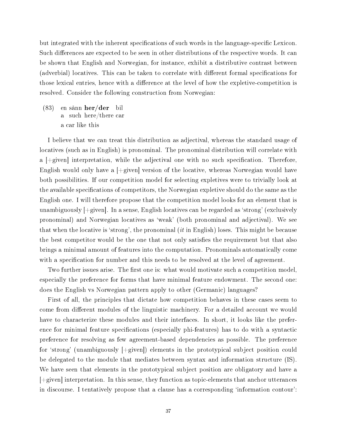but integrated with the inherent specifications of such words in the language-specific Lexicon. Such differences are expected to be seen in other distributions of the respective words. It can be shown that English and Norwegian, for instance, exhibit a distributive contrast between (adverbial) locatives. This can be taken to correlate with different formal specifications for those lexical entries, hence with a difference at the level of how the expletive-competition is resolved. Consider the following construction from Norwegian:

 $(83)$ a such here/there car sånn her/der bil a car like this

I believe that we can treat this distribution as adjectival, whereas the standard usage of locatives (such as in English) is pronominal. The pronominal distribution will correlate with a  $[+$ given] interpretation, while the adjectival one with no such specification. Therefore, English would only have a  $[+$ given version of the locative, whereas Norwegian would have both possibilities. If our competition model for selecting expletives were to trivially look at the available specifications of competitors, the Norwegian expletive should do the same as the English one. I will therefore propose that the competition model looks for an element that is unambiguously  $|+$ given. In a sense, English locatives can be regarded as 'strong' (exclusively pronominal) and Norwegian locatives as `weak' (both pronominal and adjectival). We see that when the locative is 'strong', the pronominal  $(it$  in English) loses. This might be because the best competitor would be the one that not only satisfies the requirement but that also brings a minimal amount of features into the computation. Pronominals automatically come with a specification for number and this needs to be resolved at the level of agreement.

Two further issues arise. The first one is: what would motivate such a competition model. especially the preference for forms that have minimal feature endowment. The second one: does the English vs Norwegian pattern apply to other (Germanic) languages?

First of all, the principles that dictate how competition behaves in these cases seem to come from different modules of the linguistic machinery. For a detailed account we would have to characterize these modules and their interfaces. In short, it looks like the preference for minimal feature specifications (especially phi-features) has to do with a syntactic preference for resolving as few agreement-based dependencies as possible. The preference for 'strong' (unambiguously  $|+$ given]) elements in the prototypical subject position could be delegated to the module that mediates between syntax and information structure (IS). We have seen that elements in the prototypical subject position are obligatory and have a  $\pm$ given] interpretation. In this sense, they function as topic-elements that anchor utterances in discourse. I tentatively propose that a clause has a corresponding `information contour':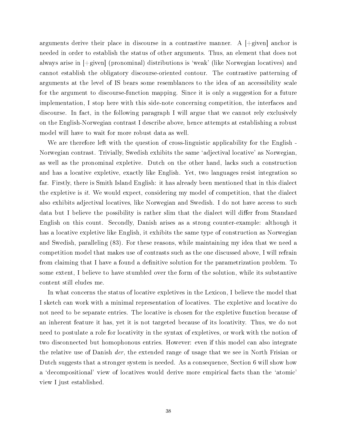arguments derive their place in discourse in a contrastive manner. A  $[+$ given anchor is needed in order to establish the status of other arguments. Thus, an element that does not always arise in [+given] (pronominal) distributions is `weak' (like Norwegian locatives) and cannot establish the obligatory discourse-oriented contour. The contrastive patterning of arguments at the level of IS bears some resemblances to the idea of an accessibility scale for the argument to discourse-function mapping. Since it is only a suggestion for a future implementation, I stop here with this side-note concerning competition, the interfaces and discourse. In fact, in the following paragraph I will argue that we cannot rely exclusively on the English-Norwegian contrast I describe above, hence attempts at establishing a robust model will have to wait for more robust data as well.

We are therefore left with the question of cross-linguistic applicability for the English - Norwegian contrast. Trivially, Swedish exhibits the same `adjectival locative' as Norwegian, as well as the pronominal expletive. Dutch on the other hand, lacks such a construction and has a locative expletive, exactly like English. Yet, two languages resist integration so far. Firstly, there is Smith Island English: it has already been mentioned that in this dialect the expletive is it. We would expect, considering my model of competition, that the dialect also exhibits adjectival locatives, like Norwegian and Swedish. I do not have access to such data but I believe the possibility is rather slim that the dialect will differ from Standard English on this count. Secondly, Danish arises as a strong counter-example: although it has a locative expletive like English, it exhibits the same type of construction as Norwegian and Swedish, paralleling (83). For these reasons, while maintaining my idea that we need a competition model that makes use of contrasts such as the one discussed above, I will refrain from claiming that I have a found a definitive solution for the parametrization problem. To some extent, I believe to have stumbled over the form of the solution, while its substantive content still eludes me.

In what concerns the status of locative expletives in the Lexicon, I believe the model that I sketch can work with a minimal representation of locatives. The expletive and locative do not need to be separate entries. The locative is chosen for the expletive function because of an inherent feature it has, yet it is not targeted because of its locativity. Thus, we do not need to postulate a role for locativity in the syntax of expletives, or work with the notion of two disconnected but homophonous entries. However: even if this model can also integrate the relative use of Danish der, the extended range of usage that we see in North Frisian or Dutch suggests that a stronger system is needed. As a consequence, Section 6 will show how a 'decompositional' view of locatives would derive more empirical facts than the 'atomic' view I just established.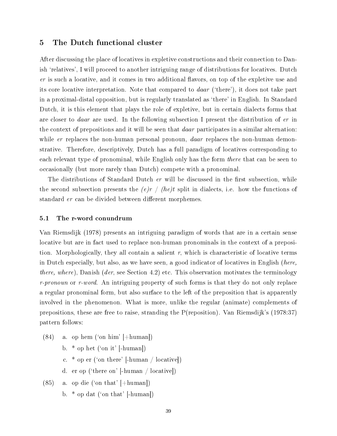## 5 The Dutch functional cluster

After discussing the place of locatives in expletive constructions and their connection to Danish 'relatives', I will proceed to another intriguing range of distributions for locatives. Dutch er is such a locative, and it comes in two additional flavors, on top of the expletive use and its core locative interpretation. Note that compared to daar (`there'), it does not take part in a proximal-distal opposition, but is regularly translated as `there' in English. In Standard Dutch, it is this element that plays the role of expletive, but in certain dialects forms that are closer to daar are used. In the following subsection I present the distribution of er in the context of prepositions and it will be seen that *daar* participates in a similar alternation: while er replaces the non-human personal pronoun, *daar* replaces the non-human demonstrative. Therefore, descriptively, Dutch has a full paradigm of locatives corresponding to each relevant type of pronominal, while English only has the form there that can be seen to occasionally (but more rarely than Dutch) compete with a pronominal.

The distributions of Standard Dutch er will be discussed in the first subsection, while the second subsection presents the  $(e)r / (he)t$  split in dialects, i.e. how the functions of standard er can be divided between different morphemes.

#### 5.1 The r-word conundrum

Van Riemsdijk (1978) presents an intriguing paradigm of words that are in a certain sense locative but are in fact used to replace non-human pronominals in the context of a preposition. Morphologically, they all contain a salient  $r$ , which is characteristic of locative terms in Dutch especially, but also, as we have seen, a good indicator of locatives in English (here, there, where), Danish (der, see Section 4.2) etc. This observation motivates the terminology r-pronoun or r-word. An intriguing property of such forms is that they do not only replace a regular pronominal form, but also surface to the left of the preposition that is apparently involved in the phenomenon. What is more, unlike the regular (animate) complements of prepositions, these are free to raise, stranding the P(reposition). Van Riemsdijk's (1978:37) pattern follows:

- $(84)$  a. op hem ('on him' [+human])
	- b. \* op het (`on it' [-human])
	- c. \* op er (`on there' [-human / locative])
	- d. er op (`there on' [-human / locative])
- $(85)$  a. op die ('on that'  $|+\text{human}|$ )
	- b.  $*$  op dat ('on that' [-human])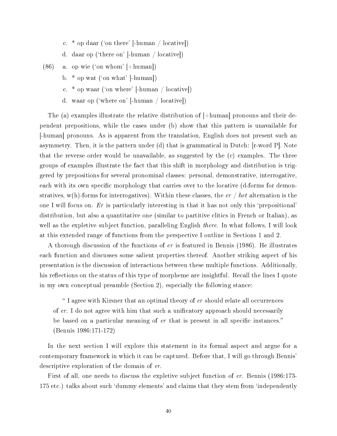- c.  $*$  op daar ('on there' [-human / locative])
- d. daar op (`there on' [-human / locative])
- (86) a. op wie (`on whom' [+human])
	- b. \* op wat (`on what' [-human])
	- c.  $*$  op waar ('on where' [-human / locative])
	- d. waar op (`where on' [-human / locative])

The (a) examples illustrate the relative distribution of  $[+{\rm human}]$  pronouns and their dependent prepositions, while the cases under (b) show that this pattern is unavailable for [-human] pronouns. As is apparent from the translation, English does not present such an asymmetry. Then, it is the pattern under (d) that is grammatical in Dutch: [r-word P]. Note that the reverse order would be unavailable, as suggested by the (c) examples. The three groups of examples illustrate the fact that this shift in morphology and distribution is triggered by prepositions for several pronominal classes: personal, demonstrative, interrogative, each with its own specific morphology that carries over to the locative (d-forms for demonstratives, w(h)-forms for interrogatives). Within these classes, the  $er / het$  alternation is the one I will focus on. Er is particularly interesting in that it has not only this `prepositional' distribution, but also a quantitative one (similar to partitive clitics in French or Italian), as well as the expletive subject function, paralleling English *there*. In what follows, I will look at this extended range of functions from the perspective I outline in Sections 1 and 2.

A thorough discussion of the functions of er is featured in Bennis (1986). He illustrates each function and discusses some salient properties thereof. Another striking aspect of his presentation is the discussion of interactions between these multiple functions. Additionally, his reflections on the status of this type of morpheme are insightful. Recall the lines I quote in my own conceptual preamble (Section 2), especially the following stance:

 I agree with Kirsner that an optimal theory of er should relate all occurrences of er. I do not agree with him that such a unificatory approach should necessarily be based on a particular meaning of er that is present in all specific instances." (Bennis 1986:171-172)

In the next section I will explore this statement in its formal aspect and argue for a contemporary framework in which it can be captured. Before that, I will go through Bennis' descriptive exploration of the domain of er.

First of all, one needs to discuss the expletive subject function of er. Bennis (1986:173- 175 etc.) talks about such 'dummy elements' and claims that they stem from 'independently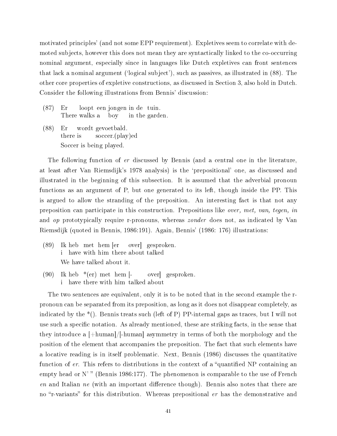motivated principles' (and not some EPP requirement). Expletives seem to correlate with demoted subjects, however this does not mean they are syntactically linked to the co-occurring nominal argument, especially since in languages like Dutch expletives can front sentences that lack a nominal argument (`logical subject'), such as passives, as illustrated in (88). The other core properties of expletive constructions, as discussed in Section 3, also hold in Dutch. Consider the following illustrations from Bennis' discussion:

- (87) Er There walks a loopt een jongen in de tuin. boy in the garden.
- (88) Er there is wordt gevoetbald. soccer.(play)ed Soccer is being played.

The following function of er discussed by Bennis (and a central one in the literature, at least after Van Riemsdijk's 1978 analysis) is the `prepositional' one, as discussed and illustrated in the beginning of this subsection. It is assumed that the adverbial pronoun functions as an argument of P, but one generated to its left, though inside the PP. This is argued to allow the stranding of the preposition. An interesting fact is that not any preposition can participate in this construction. Prepositions like over, met, van, tegen, in and op prototypically require r-pronouns, whereas *zonder* does not, as indicated by Van Riemsdijk (quoted in Bennis, 1986:191). Again, Bennis' (1986: 176) illustrations:

- $(89)$ i have with him there about talked heb met hem [er over] gesproken. We have talked about it.
- $(90)$ i have there with him talked about heb \*(er) met hem [ over] gesproken.

The two sentences are equivalent, only it is to be noted that in the second example the rpronoun can be separated from its preposition, as long as it does not disappear completely, as indicated by the \*(). Bennis treats such (left of P) PP-internal gaps as traces, but I will not use such a specific notation. As already mentioned, these are striking facts, in the sense that they introduce a  $[+{\text{human}}]/[+{\text{human}}]$  asymmetry in terms of both the morphology and the position of the element that accompanies the preposition. The fact that such elements have a locative reading is in itself problematic. Next, Bennis (1986) discusses the quantitative function of er. This refers to distributions in the context of a "quantified NP containing an empty head or N'" (Bennis 1986:177). The phenomenon is comparable to the use of French en and Italian ne (with an important difference though). Bennis also notes that there are no "r-variants" for this distribution. Whereas prepositional er has the demonstrative and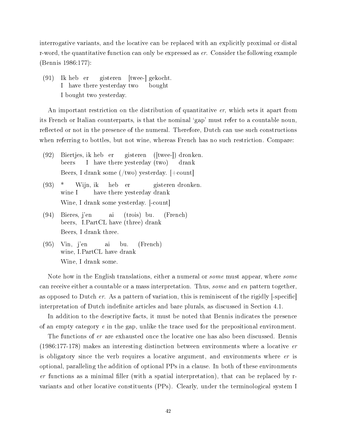interrogative variants, and the locative can be replaced with an explicitly proximal or distal r-word, the quantitative function can only be expressed as  $er$ . Consider the following example (Bennis 1986:177):

 $(91)$ I have there yesterday two heb er gisteren [twee-] gekocht. bought I bought two yesterday.

An important restriction on the distribution of quantitative er, which sets it apart from its French or Italian counterparts, is that the nominal 'gap' must refer to a countable noun. reflected or not in the presence of the numeral. Therefore, Dutch can use such constructions when referring to bottles, but not wine, whereas French has no such restriction. Compare:

- (92) Biertjes, ik heb er beers I have there yesterday (two) gisteren ([twee-]) dronken. drank Beers, I drank some (/two) yesterday. [+count]
- $(93)$  \* wine I Wijn, ik have there yesterday drank heb er gisteren dronken. Wine, I drank some yesterday. [-count]
- (94) Bieres, j'en beers, I.PartCL have (three) drank ai (trois) bu. (French) Beers, I drank three.
- (95) Vin, j'en wine, I.PartCL have drank ai bu. (French) Wine, I drank some.

Note how in the English translations, either a numeral or *some* must appear, where *some* can receive either a countable or a mass interpretation. Thus, some and en pattern together, as opposed to Dutch er. As a pattern of variation, this is reminiscent of the rigidly  $\lceil$ -specific interpretation of Dutch indefinite articles and bare plurals, as discussed in Section 4.1.

In addition to the descriptive facts, it must be noted that Bennis indicates the presence of an empty category  $e$  in the gap, unlike the trace used for the prepositional environment.

The functions of er are exhausted once the locative one has also been discussed. Bennis (1986:177-178) makes an interesting distinction between environments where a locative er is obligatory since the verb requires a locative argument, and environments where *er* is optional, paralleling the addition of optional PPs in a clause. In both of these environments er functions as a minimal filler (with a spatial interpretation), that can be replaced by  $r$ variants and other locative constituents (PPs). Clearly, under the terminological system I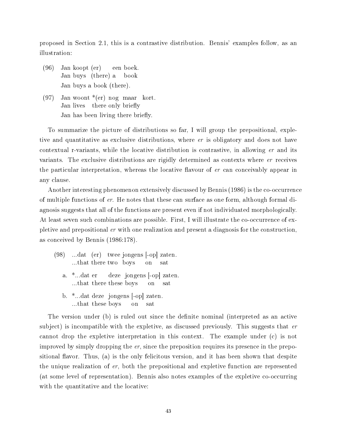proposed in Section 2.1, this is a contrastive distribution. Bennis' examples follow, as an illustration:

- (96) Jan koopt (er) Jan buys (there) a een boek. book Jan buys a book (there).
- $(97)$ Jan lives woont \*(er) nog maar kort. there only briefly Jan has been living there briefly.

To summarize the picture of distributions so far, I will group the prepositional, expletive and quantitative as exclusive distributions, where er is obligatory and does not have contextual r-variants, while the locative distribution is contrastive, in allowing er and its variants. The exclusive distributions are rigidly determined as contexts where er receives the particular interpretation, whereas the locative flavour of  $er$  can conceivably appear in any clause.

Another interesting phenomenon extensively discussed by Bennis (1986) is the co-occurrence of multiple functions of er. He notes that these can surface as one form, although formal diagnosis suggests that all of the functions are present even if not individuated morphologically. At least seven such combinations are possible. First, I will illustrate the co-occurrence of expletive and prepositional er with one realization and present a diagnosis for the construction, as conceived by Bennis (1986:178).

- (98) ...dat (er) twee jongens [-op] zaten. ...that there two boys on sat a. \*...dat er ...that there these boys deze jongens [-op] zaten. on sat b. \*...dat deze jongens [-op] zaten.
	- ...that these boys on sat

The version under (b) is ruled out since the definite nominal (interpreted as an active subject) is incompatible with the expletive, as discussed previously. This suggests that  $er$ cannot drop the expletive interpretation in this context. The example under (c) is not improved by simply dropping the er, since the preposition requires its presence in the prepositional flavor. Thus, (a) is the only felicitous version, and it has been shown that despite the unique realization of er, both the prepositional and expletive function are represented (at some level of representation). Bennis also notes examples of the expletive co-occurring with the quantitative and the locative: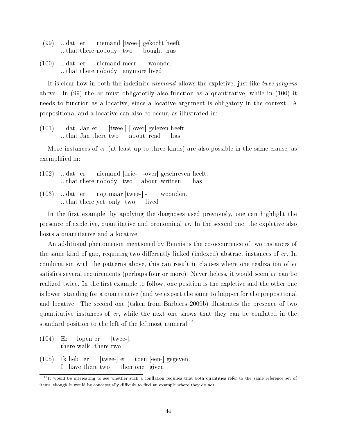- (99) ...dat er ...that there nobody two niemand [twee-] gekocht heeft. bought has
- $(100)$ ...that there nobody anymore lived …dat er niemand meer woonde.

It is clear how in both the indefinite *niemand* allows the expletive, just like twee jongens above. In  $(99)$  the er must obligatorily also function as a quantitative, while in  $(100)$  it needs to function as a locative, since a locative argument is obligatory in the context. A prepositional and a locative can also co-occur, as illustrated in:

(101) ...dat Jan er ...that Jan there two [twee-] [-over] gelezen heeft. about read has

More instances of er (at least up to three kinds) are also possible in the same clause, as exemplified in:

- (102) ...dat er ...that there nobody two niemand [drie-] [-over] geschreven heeft. about written has
- $(103)$ ...that there yet only two …dat er nog maar [twee-] lived woonden.

In the first example, by applying the diagnoses used previously, one can highlight the presence of expletive, quantitative and pronominal er. In the second one, the expletive also hosts a quantitative and a locative.

An additional phenomenon mentioned by Bennis is the co-occurrence of two instances of the same kind of gap, requiring two differently linked (indexed) abstract instances of  $er$ . In combination with the patterns above, this can result in clauses where one realization of er satisfies several requirements (perhaps four or more). Nevertheless, it would seem  $er$  can be realized twice. In the first example to follow, one position is the expletive and the other one is lower, standing for a quantitative (and we expect the same to happen for the prepositional and locative. The second one (taken from Barbiers 2009b) illustrates the presence of two quantitative instances of  $er$ , while the next one shows that they can be conflated in the standard position to the left of the leftmost numeral.<sup>12</sup>

- (104) Er there walk there two lopen er [twee-].
- $(105)$ I have there two heb er [twee-] er then one given toen [een-] gegeven.

 $12$ It would be interesting to see whether such a conflation requires that both quantities refer to the same reference set of items, though it would be conceptually difficult to find an example where they do not.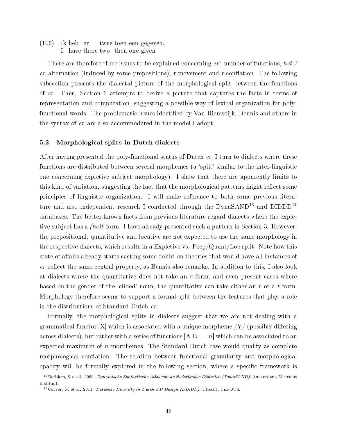$(106)$ I have there two then one given heb er twee toen een gegeven.

There are therefore three issues to be explained concerning  $er:$  number of functions, het  $\sqrt{ }$ er alternation (induced by some prepositions), r-movement and r-conflation. The following subsection presents the dialectal picture of the morphological split between the functions of er. Then, Section 6 attempts to derive a picture that captures the facts in terms of representation and computation, suggesting a possible way of lexical organization for polyfunctional words. The problematic issues identified by Van Riemsdijk, Bennis and others in the syntax of er are also accommodated in the model I adopt.

#### 5.2 Morphological splits in Dutch dialects

After having presented the poly-functional status of Dutch er, I turn to dialects where these functions are distributed between several morphemes (a `split' similar to the inter-linguistic one concerning expletive subject morphology). I show that there are apparently limits to this kind of variation, suggesting the fact that the morphological patterns might reflect some principles of linguistic organization. I will make reference to both some previous literature and also independent research I conducted through the  $DynaSAND<sup>13</sup>$  and  $DIDDD<sup>14</sup>$ databases. The better-known facts from previous literature regard dialects where the expletive subject has a  $(he)t$ -form. I have already presented such a pattern in Section 3. However, the prepositional, quantitative and locative are not expected to use the same morphology in the respective dialects, which results in a Expletive vs. Prep/Quant/Loc split. Note how this state of affairs already starts casting some doubt on theories that would have all instances of  $er$  reflect the same central property, as Bennis also remarks. In addition to this, I also look at dialects where the quantitative does not take an  $r$ -form, and even present cases where based on the gender of the 'elided' noun, the quantitative can take either an r or a t-form. Morphology therefore seems to support a formal split between the features that play a role in the distributions of Standard Dutch er.

Formally, the morphological splits in dialects suggest that we are not dealing with a grammatical functor  $[X]$  which is associated with a unique morpheme  $\frac{Y}{Y}$  (possibly differing across dialects), but rather with a series of functions  $[A-B-...-n]$  which can be associated to an expected maximum of n morphemes. The Standard Dutch case would qualify as complete morphological conflation. The relation between functional granularity and morphological opacity will be formally explored in the following section, where a specific framework is

<sup>&</sup>lt;sup>13</sup>Barbiers, S. et al. 2006. Dynamische Syntactische Atlas van de Nederlandse Dialecten (DynaSAND). Amsterdam, Meertens Instituut.

 $14$ Corver, N. et al. 2011. Database Diversity in Dutch DP Design (DDiDD). Utrecht, UiL-OTS.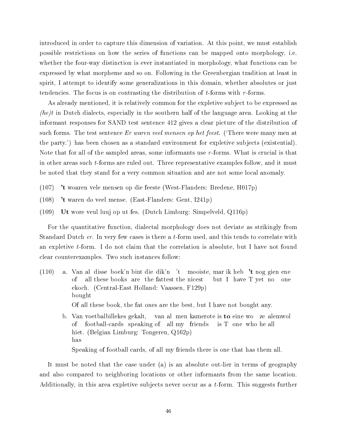introduced in order to capture this dimension of variation. At this point, we must establish possible restrictions on how the series of functions can be mapped onto morphology, i.e. whether the four-way distinction is ever instantiated in morphology, what functions can be expressed by what morpheme and so on. Following in the Greenbergian tradition at least in spirit, I attempt to identify some generalizations in this domain, whether absolutes or just tendencies. The focus is on contrasting the distribution of  $t$ -forms with  $r$ -forms.

As already mentioned, it is relatively common for the expletive subject to be expressed as *(he)t* in Dutch dialects, especially in the southern half of the language area. Looking at the informant responses for SAND test sentence 412 gives a clear picture of the distribution of such forms. The test sentence  $Er$  waren veel mensen op het feest. (There were many men at the party.') has been chosen as a standard environment for expletive subjects (existential). Note that for all of the sampled areas, some informants use r-forms. What is crucial is that in other areas such t-forms are ruled out. Three representative examples follow, and it must be noted that they stand for a very common situation and are not some local anomaly.

- (107) 't woaren vele mensen op die feeste (West-Flanders: Bredene, H017p)
- (108) 't waren do veel mense. (East-Flanders: Gent, I241p)
- (109) Ut wore veul luuj op ut fes. (Dutch Limburg: Simpelveld, Q116p)

For the quantitative function, dialectal morphology does not deviate as strikingly from Standard Dutch er. In very few cases is there a t-form used, and this tends to correlate with an expletive t-form. I do not claim that the correlation is absolute, but I have not found clear counterexamples. Two such instances follow:

- (110) a. Van al disse boek'n bint die dik'n 't mooiste, mar ik heb 't nog gien ene of all these books are the fattest the nicest but I have T yet no one ekoch. (Central-East Holland: Vaassen, F129p) bought Of all these book, the fat ones are the best, but I have not bought any.
	- b. Van voetbalbillekes gekalt, of football-cards speaking of all my friends van al men kamerote is to eine wo ze alemwol is T one who he all hiet. (Belgian Limburg: Tongeren, Q162p) has Speaking of football cards, of all my friends there is one that has them all.

It must be noted that the case under (a) is an absolute out-lier in terms of geography and also compared to neighboring locations or other informants from the same location. Additionally, in this area expletive subjects never occur as a t-form. This suggests further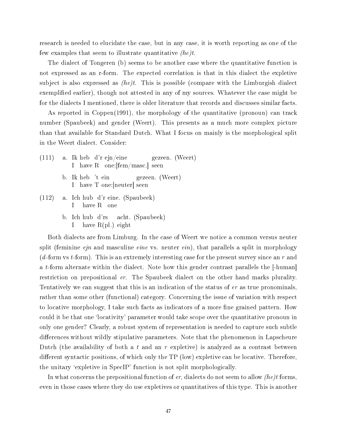research is needed to elucidate the case, but in any case, it is worth reporting as one of the few examples that seem to illustrate quantitative  $(he)t$ .

The dialect of Tongeren (b) seems to be another case where the quantitative function is not expressed as an r-form. The expected correlation is that in this dialect the expletive subject is also expressed as  $(he)t$ . This is possible (compare with the Limburgish dialect exemplified earlier), though not attested in any of my sources. Whatever the case might be for the dialects I mentioned, there is older literature that records and discusses similar facts.

As reported in Coppen(1991), the morphology of the quantitative (pronoun) can track number (Spaubeek) and gender (Weert). This presents as a much more complex picture than that available for Standard Dutch. What I focus on mainly is the morphological split in the Weert dialect. Consider:

- (111) a. Ik heb d'r ejn/eine I have R one:[fem/masc.] seen gezeen. (Weert)
	- b. Ik heb 't ein I have T one:[neuter] seen gezeen. (Weert)
- (112) a. Ich hub d'r eine. (Spaubeek) I have R one
	- b. Ich hub d'rs I have R(pl.) eight acht. (Spaubeek)

Both dialects are from Limburg. In the case of Weert we notice a common versus neuter split (feminine  $ejn$  and masculine  $eine$  vs. neuter  $ein$ ), that parallels a split in morphology (d-form vs t-form). This is an extremely interesting case for the present survey since an r and a t-form alternate within the dialect. Note how this gender contrast parallels the  $\lceil -\text{human} \rceil$ restriction on prepositional er. The Spaubeek dialect on the other hand marks plurality. Tentatively we can suggest that this is an indication of the status of er as true pronominals, rather than some other (functional) category. Concerning the issue of variation with respect to locative morphology, I take such facts as indicators of a more fine grained pattern. How could it be that one 'locativity' parameter would take scope over the quantitative pronoun in only one gender? Clearly, a robust system of representation is needed to capture such subtle differences without wildly stipulative parameters. Note that the phenomenon in Lapscheure Dutch (the availability of both a t and an r expletive) is analyzed as a contrast between different syntactic positions, of which only the  $TP$  (low) expletive can be locative. Therefore, the unitary `expletive in SpecIP' function is not split morphologically.

In what concerns the prepositional function of  $er$ , dialects do not seem to allow *(he)t* forms. even in those cases where they do use expletives or quantitatives of this type. This is another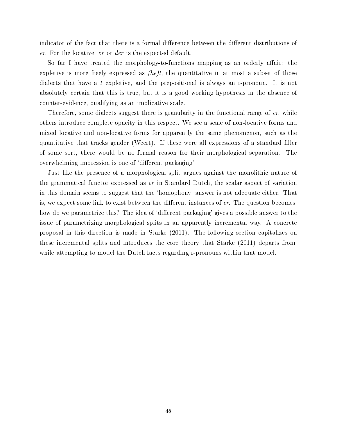indicator of the fact that there is a formal difference between the different distributions of er. For the locative, er or der is the expected default.

So far I have treated the morphology-to-functions mapping as an orderly affair: the expletive is more freely expressed as  $(he)t$ , the quantitative in at most a subset of those dialects that have a t expletive, and the prepositional is always an r-pronoun. It is not absolutely certain that this is true, but it is a good working hypothesis in the absence of counter-evidence, qualifying as an implicative scale.

Therefore, some dialects suggest there is granularity in the functional range of er, while others introduce complete opacity in this respect. We see a scale of non-locative forms and mixed locative and non-locative forms for apparently the same phenomenon, such as the quantitative that tracks gender (Weert). If these were all expressions of a standard filler of some sort, there would be no formal reason for their morphological separation. The overwhelming impression is one of 'different packaging'.

Just like the presence of a morphological split argues against the monolithic nature of the grammatical functor expressed as er in Standard Dutch, the scalar aspect of variation in this domain seems to suggest that the `homophony' answer is not adequate either. That is, we expect some link to exist between the different instances of  $er$ . The question becomes: how do we parametrize this? The idea of 'different packaging' gives a possible answer to the issue of parametrizing morphological splits in an apparently incremental way. A concrete proposal in this direction is made in Starke (2011). The following section capitalizes on these incremental splits and introduces the core theory that Starke (2011) departs from, while attempting to model the Dutch facts regarding r-pronouns within that model.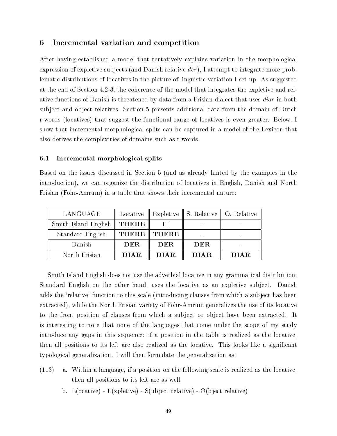## 6 Incremental variation and competition

After having established a model that tentatively explains variation in the morphological expression of expletive subjects (and Danish relative der), I attempt to integrate more problematic distributions of locatives in the picture of linguistic variation I set up. As suggested at the end of Section 4.2-3, the coherence of the model that integrates the expletive and relative functions of Danish is threatened by data from a Frisian dialect that uses diar in both subject and object relatives. Section 5 presents additional data from the domain of Dutch r-words (locatives) that suggest the functional range of locatives is even greater. Below, I show that incremental morphological splits can be captured in a model of the Lexicon that also derives the complexities of domains such as r-words.

#### 6.1 Incremental morphological splits

Based on the issues discussed in Section 5 (and as already hinted by the examples in the introduction), we can organize the distribution of locatives in English, Danish and North Frisian (Fohr-Amrum) in a table that shows their incremental nature:

| LANGUAGE             | Locative     |              | Expletive $\parallel$ S. Relative $\parallel$ O. Relative |             |
|----------------------|--------------|--------------|-----------------------------------------------------------|-------------|
| Smith Island English | <b>THERE</b> | IT           |                                                           |             |
| Standard English     | <b>THERE</b> | <b>THERE</b> |                                                           |             |
| Danish               | <b>DER</b>   | <b>DER</b>   | DER                                                       |             |
| North Frisian        | <b>DIAR</b>  | <b>DIAR</b>  | <b>DIAR</b>                                               | <b>DIAR</b> |

Smith Island English does not use the adverbial locative in any grammatical distribution. Standard English on the other hand, uses the locative as an expletive subject. Danish adds the 'relative' function to this scale (introducing clauses from which a subject has been extracted), while the North Frisian variety of Fohr-Amrum generalizes the use of its locative to the front position of clauses from which a subject or object have been extracted. It is interesting to note that none of the languages that come under the scope of my study introduce any gaps in this sequence: if a position in the table is realized as the locative, then all positions to its left are also realized as the locative. This looks like a signicant typological generalization. I will then formulate the generalization as:

- (113) a. Within a language, if a position on the following scale is realized as the locative, then all positions to its left are as well:
	- b. L(ocative) E(xpletive) S(ubject relative) O(bject relative)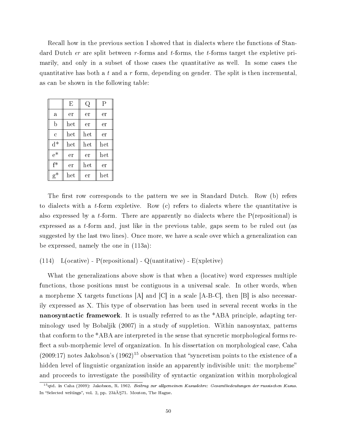Recall how in the previous section I showed that in dialects where the functions of Standard Dutch  $er$  are split between r-forms and t-forms, the t-forms target the expletive primarily, and only in a subset of those cases the quantitative as well. In some cases the quantitative has both a t and a r form, depending on gender. The split is then incremental, as can be shown in the following table:

|                | Е   | Q   | Ρ   |
|----------------|-----|-----|-----|
| a              | er  | er  | er  |
| b              | het | er  | er  |
| $\overline{c}$ | het | het | er  |
| $d^*$          | het | het | het |
| $e^*$          | er  | er  | het |
| $f^*$          | er  | het | er  |
| $g^*$          | het | er  | het |

The first row corresponds to the pattern we see in Standard Dutch. Row (b) refers to dialects with a t-form expletive. Row (c) refers to dialects where the quantitative is also expressed by a t-form. There are apparently no dialects where the  $P(\text{repositional})$  is expressed as a t-form and, just like in the previous table, gaps seem to be ruled out (as suggested by the last two lines). Once more, we have a scale over which a generalization can be expressed, namely the one in (113a):

(114) L(ocative) - P(repositional) - Q(uantitative) - E(xpletive)

What the generalizations above show is that when a (locative) word expresses multiple functions, those positions must be contiguous in a universal scale. In other words, when a morpheme X targets functions  $[A]$  and  $[C]$  in a scale  $[A-B-C]$ , then  $[B]$  is also necessarily expressed as X. This type of observation has been used in several recent works in the nanosyntactic framework. It is usually referred to as the \*ABA principle, adapting terminology used by Bobaljik (2007) in a study of suppletion. Within nanosyntax, patterns that conform to the \*ABA are interpreted in the sense that syncretic morphological forms re flect a sub-morphemic level of organization. In his dissertation on morphological case, Caha  $(2009:17)$  notes Jakobson's  $(1962)^{15}$  observation that "syncretism points to the existence of a hidden level of linguistic organization inside an apparently indivisible unit: the morpheme" and proceeds to investigate the possibility of syntactic organization within morphological

 $15$ qtd. in Caha (2009): Jakobson, R. 1962. Beitrag zur allgemeinen Kasuslehre: Gesamtbedeutungen der russischen Kasus. In "Selected writings", vol. 2, pp. 23â $\tilde{A}$ §71. Mouton, The Hague.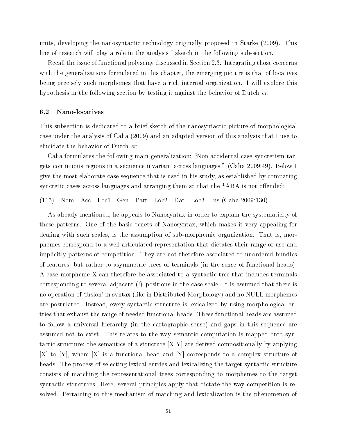units, developing the nanosyntactic technology originally proposed in Starke (2009). This line of research will play a role in the analysis I sketch in the following sub-section.

Recall the issue of functional polysemy discussed in Section 2.3. Integrating those concerns with the generalizations formulated in this chapter, the emerging picture is that of locatives being precisely such morphemes that have a rich internal organization. I will explore this hypothesis in the following section by testing it against the behavior of Dutch er.

#### 6.2 Nano-locatives

This subsection is dedicated to a brief sketch of the nanosyntactic picture of morphological case under the analysis of Caha (2009) and an adapted version of this analysis that I use to elucidate the behavior of Dutch er.

Caha formulates the following main generalization: "Non-accidental case syncretism targets continuous regions in a sequence invariant across languages. (Caha 2009:49). Below I give the most elaborate case sequence that is used in his study, as established by comparing syncretic cases across languages and arranging them so that the  $*ABA$  is not offended:

(115) Nom - Acc - Loc1 - Gen - Part - Loc2 - Dat - Loc3 - Ins (Caha 2009:130)

As already mentioned, he appeals to Nanosyntax in order to explain the systematicity of these patterns. One of the basic tenets of Nanosyntax, which makes it very appealing for dealing with such scales, is the assumption of sub-morphemic organization. That is, morphemes correspond to a well-articulated representation that dictates their range of use and implicitly patterns of competition. They are not therefore associated to unordered bundles of features, but rather to asymmetric trees of terminals (in the sense of functional heads). A case morpheme X can therefore be associated to a syntactic tree that includes terminals corresponding to several adjacent (!) positions in the case scale. It is assumed that there is no operation of `fusion' in syntax (like in Distributed Morphology) and no NULL morphemes are postulated. Instead, every syntactic structure is lexicalized by using morphological entries that exhaust the range of needed functional heads. These functional heads are assumed to follow a universal hierarchy (in the cartographic sense) and gaps in this sequence are assumed not to exist. This relates to the way semantic computation is mapped onto syntactic structure: the semantics of a structure [X-Y] are derived compositionally by applying [X] to [Y], where [X] is a functional head and [Y] corresponds to a complex structure of heads. The process of selecting lexical entries and lexicalizing the target syntactic structure consists of matching the representational trees corresponding to morphemes to the target syntactic structures. Here, several principles apply that dictate the way competition is resolved. Pertaining to this mechanism of matching and lexicalization is the phenomenon of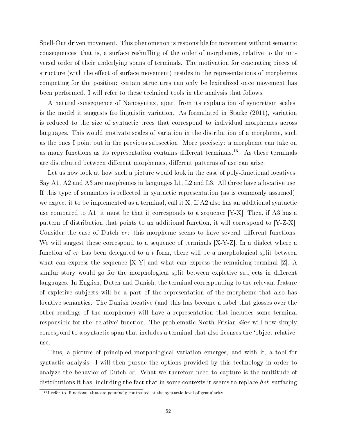Spell-Out driven movement. This phenomenon is responsible for movement without semantic consequences, that is, a surface reshuffling of the order of morphemes, relative to the universal order of their underlying spans of terminals. The motivation for evacuating pieces of structure (with the effect of surface movement) resides in the representations of morphemes competing for the position: certain structures can only be lexicalized once movement has been performed. I will refer to these technical tools in the analysis that follows.

A natural consequence of Nanosyntax, apart from its explanation of syncretism scales, is the model it suggests for linguistic variation. As formulated in Starke (2011), variation is reduced to the size of syntactic trees that correspond to individual morphemes across languages. This would motivate scales of variation in the distribution of a morpheme, such as the ones I point out in the previous subsection. More precisely: a morpheme can take on as many functions as its representation contains different terminals.<sup>16</sup>. As these terminals are distributed between different morphemes, different patterns of use can arise.

Let us now look at how such a picture would look in the case of poly-functional locatives. Say A1, A2 and A3 are morphemes in languages L1, L2 and L3. All three have a locative use. If this type of semantics is reflected in syntactic representation (as is commonly assumed). we expect it to be implemented as a terminal, call it X. If A2 also has an additional syntactic use compared to A1, it must be that it corresponds to a sequence  $[Y-X]$ . Then, if A3 has a pattern of distribution that points to an additional function, it will correspond to [Y-Z-X]. Consider the case of Dutch  $er$ : this morpheme seems to have several different functions. We will suggest these correspond to a sequence of terminals [X-Y-Z]. In a dialect where a function of  $er$  has been delegated to a t form, there will be a morphological split between what can express the sequence  $[X-Y]$  and what can express the remaining terminal  $[Z]$ . A similar story would go for the morphological split between expletive subjects in different languages. In English, Dutch and Danish, the terminal corresponding to the relevant feature of expletive subjects will be a part of the representation of the morpheme that also has locative semantics. The Danish locative (and this has become a label that glosses over the other readings of the morpheme) will have a representation that includes some terminal responsible for the 'relative' function. The problematic North Frisian diar will now simply correspond to a syntactic span that includes a terminal that also licenses the `object relative' use.

Thus, a picture of principled morphological variation emerges, and with it, a tool for syntactic analysis. I will then pursue the options provided by this technology in order to analyze the behavior of Dutch er. What we therefore need to capture is the multitude of distributions it has, including the fact that in some contexts it seems to replace het, surfacing

 $16$ I refer to 'functions' that are genuinely contrasted at the syntactic level of granularity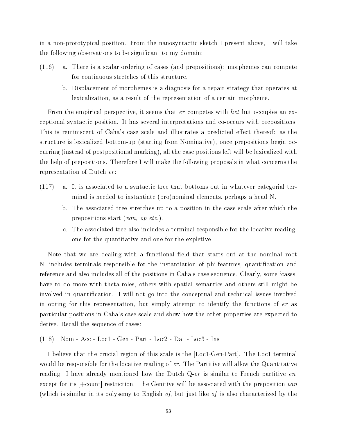in a non-prototypical position. From the nanosyntactic sketch I present above, I will take the following observations to be signicant to my domain:

- (116) a. There is a scalar ordering of cases (and prepositions): morphemes can compete for continuous stretches of this structure.
	- b. Displacement of morphemes is a diagnosis for a repair strategy that operates at lexicalization, as a result of the representation of a certain morpheme.

From the empirical perspective, it seems that er competes with het but occupies an exceptional syntactic position. It has several interpretations and co-occurs with prepositions. This is reminiscent of Caha's case scale and illustrates a predicted effect thereof: as the structure is lexicalized bottom-up (starting from Nominative), once prepositions begin occurring (instead of postpositional marking), all the case positions left will be lexicalized with the help of prepositions. Therefore I will make the following proposals in what concerns the representation of Dutch er:

- (117) a. It is associated to a syntactic tree that bottoms out in whatever categorial terminal is needed to instantiate (pro)nominal elements, perhaps a head N.
	- b. The associated tree stretches up to a position in the case scale after which the prepositions start (van, op etc.).
	- c. The associated tree also includes a terminal responsible for the locative reading, one for the quantitative and one for the expletive.

Note that we are dealing with a functional field that starts out at the nominal root N, includes terminals responsible for the instantiation of phi-features, quantification and reference and also includes all of the positions in Caha's case sequence. Clearly, some 'cases' have to do more with theta-roles, others with spatial semantics and others still might be involved in quantification. I will not go into the conceptual and technical issues involved in opting for this representation, but simply attempt to identify the functions of er as particular positions in Caha's case scale and show how the other properties are expected to derive. Recall the sequence of cases:

(118) Nom - Acc - Loc1 - Gen - Part - Loc2 - Dat - Loc3 - Ins

I believe that the crucial region of this scale is the [Loc1-Gen-Part]. The Loc1 terminal would be responsible for the locative reading of er. The Partitive will allow the Quantitative reading: I have already mentioned how the Dutch  $Q$ -er is similar to French partitive en. except for its  $\pm$ count restriction. The Genitive will be associated with the preposition van (which is similar in its polysemy to English of, but just like of is also characterized by the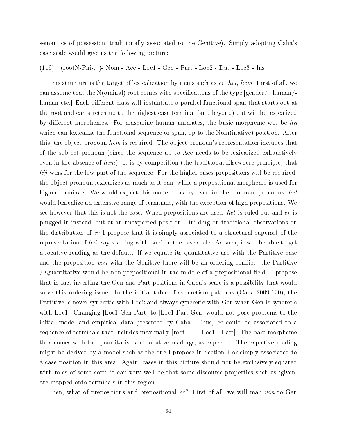semantics of possession, traditionally associated to the Genitive). Simply adopting Caha's case scale would give us the following picture:

(119) (rootN-Phi-...)- Nom - Acc - Loc1 - Gen - Part - Loc2 - Dat - Loc3 - Ins

This structure is the target of lexicalization by items such as er, het, hem. First of all, we can assume that the N(ominal) root comes with specifications of the type  $|gender/+human/$ human etc. Each different class will instantiate a parallel functional span that starts out at the root and can stretch up to the highest case terminal (and beyond) but will be lexicalized by different morphemes. For masculine human animates, the basic morpheme will be  $hij$ which can lexicalize the functional sequence or span, up to the Nom(inative) position. After this, the object pronoun hem is required. The object pronoun's representation includes that of the subject pronoun (since the sequence up to Acc needs to be lexicalized exhaustively even in the absence of hem). It is by competition (the traditional Elsewhere principle) that hij wins for the low part of the sequence. For the higher cases prepositions will be required: the object pronoun lexicalizes as much as it can, while a prepositional morpheme is used for higher terminals. We would expect this model to carry over for the  $|\text{-human}|$  pronouns: het would lexicalize an extensive range of terminals, with the exception of high prepositions. We see however that this is not the case. When prepositions are used, het is ruled out and er is plugged in instead, but at an unexpected position. Building on traditional observations on the distribution of er I propose that it is simply associated to a structural superset of the representation of het, say starting with Loc1 in the case scale. As such, it will be able to get a locative reading as the default. If we equate its quantitative use with the Partitive case and the preposition van with the Genitive there will be an ordering conflict: the Partitive / Quantitative would be non-prepositional in the middle of a prepositional field. I propose that in fact inverting the Gen and Part positions in Caha's scale is a possibility that would solve this ordering issue. In the initial table of syncretism patterns (Caha 2009:130), the Partitive is never syncretic with Loc2 and always syncretic with Gen when Gen is syncretic with Loc1. Changing [Loc1-Gen-Part] to [Loc1-Part-Gen] would not pose problems to the initial model and empirical data presented by Caha. Thus, er could be associated to a sequence of terminals that includes maximally [root- ... - Loc1 - Part]. The bare morpheme thus comes with the quantitative and locative readings, as expected. The expletive reading might be derived by a model such as the one I propose in Section 4 or simply associated to a case position in this area. Again, cases in this picture should not be exclusively equated with roles of some sort: it can very well be that some discourse properties such as 'given' are mapped onto terminals in this region.

Then, what of prepositions and prepositional er? First of all, we will map van to Gen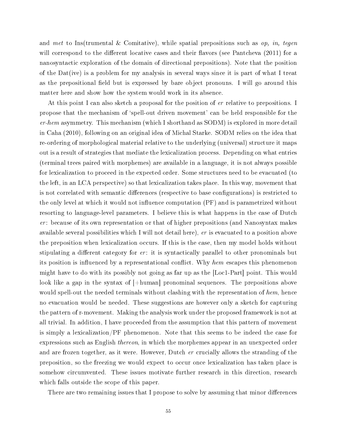and met to Ins(trumental & Comitative), while spatial prepositions such as  $op$ , in, tegen will correspond to the different locative cases and their flavors (see Pantcheva  $(2011)$  for a nanosyntactic exploration of the domain of directional prepositions). Note that the position of the Dat(ive) is a problem for my analysis in several ways since it is part of what I treat as the prepositional field but is expressed by bare object pronouns. I will go around this matter here and show how the system would work in its absence.

At this point I can also sketch a proposal for the position of *er* relative to prepositions. I propose that the mechanism of `spell-out driven movement' can be held responsible for the  $er\$ hem asymmetry. This mechanism (which I shorthand as SODM) is explored in more detail in Caha (2010), following on an original idea of Michal Starke. SODM relies on the idea that re-ordering of morphological material relative to the underlying (universal) structure it maps out is a result of strategies that mediate the lexicalization process. Depending on what entries (terminal trees paired with morphemes) are available in a language, it is not always possible for lexicalization to proceed in the expected order. Some structures need to be evacuated (to the left, in an LCA perspective) so that lexicalization takes place. In this way, movement that is not correlated with semantic differences (respective to base configurations) is restricted to the only level at which it would not influence computation  $(PF)$  and is parametrized without resorting to language-level parameters. I believe this is what happens in the case of Dutch  $er:$  because of its own representation or that of higher prepositions (and Nanosyntax makes available several possibilities which I will not detail here), er is evacuated to a position above the preposition when lexicalization occurs. If this is the case, then my model holds without stipulating a different category for  $er$ : it is syntactically parallel to other pronominals but its position is influenced by a representational conflict. Why hem escapes this phenomenon might have to do with its possibly not going as far up as the [Loc1-Part] point. This would look like a gap in the syntax of  $|+\text{human}|$  pronominal sequences. The prepositions above would spell-out the needed terminals without clashing with the representation of  $hem$ , hence no evacuation would be needed. These suggestions are however only a sketch for capturing the pattern of r-movement. Making the analysis work under the proposed framework is not at all trivial. In addition, I have proceeded from the assumption that this pattern of movement is simply a lexicalization/PF phenomenon. Note that this seems to be indeed the case for expressions such as English thereon, in which the morphemes appear in an unexpected order and are frozen together, as it were. However, Dutch er crucially allows the stranding of the preposition, so the freezing we would expect to occur once lexicalization has taken place is somehow circumvented. These issues motivate further research in this direction, research which falls outside the scope of this paper.

There are two remaining issues that I propose to solve by assuming that minor differences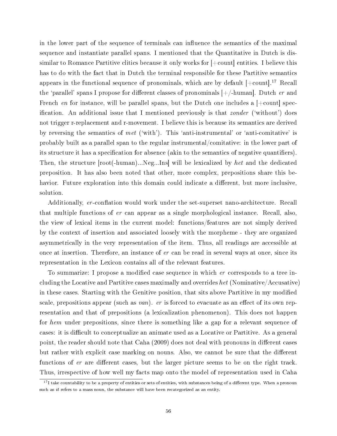in the lower part of the sequence of terminals can influence the semantics of the maximal sequence and instantiate parallel spans. I mentioned that the Quantitative in Dutch is dissimilar to Romance Partitive clitics because it only works for [+count] entities. I believe this has to do with the fact that in Dutch the terminal responsible for these Partitive semantics appears in the functional sequence of pronominals, which are by default  $[+count]$ <sup>17</sup> Recall the 'parallel' spans I propose for different classes of pronominals  $[+/$ -human]. Dutch er and French en for instance, will be parallel spans, but the Dutch one includes a  $[+count]$  specification. An additional issue that I mentioned previously is that *zonder* ('without') does not trigger r-replacement and r-movement. I believe this is because its semantics are derived by reversing the semantics of met ('with'). This 'anti-instrumental' or 'anti-comitative' is probably built as a parallel span to the regular instrumental/comitative: in the lower part of its structure it has a specification for absence (akin to the semantics of negative quantifiers). Then, the structure [root(-human)...Neg...Ins] will be lexicalized by het and the dedicated preposition. It has also been noted that other, more complex, prepositions share this behavior. Future exploration into this domain could indicate a different, but more inclusive, solution.

Additionally, er-conflation would work under the set-superset nano-architecture. Recall that multiple functions of er can appear as a single morphological instance. Recall, also, the view of lexical items in the current model: functions/features are not simply derived by the context of insertion and associated loosely with the morpheme - they are organized asymmetrically in the very representation of the item. Thus, all readings are accessible at once at insertion. Therefore, an instance of er can be read in several ways at once, since its representation in the Lexicon contains all of the relevant features.

To summarize: I propose a modified case sequence in which  $er$  corresponds to a tree including the Locative and Partitive cases maximally and overrides het (Nominative/Accusative) in these cases. Starting with the Genitive position, that sits above Partitive in my modified scale, prepositions appear (such as van). er is forced to evacuate as an effect of its own representation and that of prepositions (a lexicalization phenomenon). This does not happen for hem under prepositions, since there is something like a gap for a relevant sequence of cases: it is difficult to conceptualize an animate used as a Locative or Partitive. As a general point, the reader should note that Caha (2009) does not deal with pronouns in different cases but rather with explicit case marking on nouns. Also, we cannot be sure that the different functions of  $er$  are different cases, but the larger picture seems to be on the right track. Thus, irrespective of how well my facts map onto the model of representation used in Caha

 $17$ I take countability to be a property of entities or sets of entities, with substances being of a different type. When a pronoun such as *it* refers to a mass noun, the substance will have been recategorized as an entity.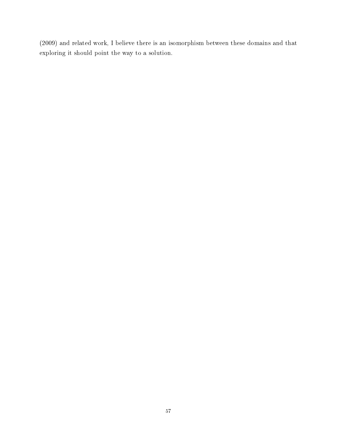(2009) and related work, I believe there is an isomorphism between these domains and that exploring it should point the way to a solution.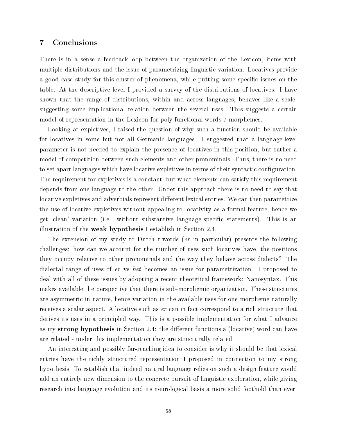## 7 Conclusions

There is in a sense a feedback-loop between the organization of the Lexicon, items with multiple distributions and the issue of parametrizing linguistic variation. Locatives provide a good case study for this cluster of phenomena, while putting some specific issues on the table. At the descriptive level I provided a survey of the distributions of locatives. I have shown that the range of distributions, within and across languages, behaves like a scale, suggesting some implicational relation between the several uses. This suggests a certain model of representation in the Lexicon for poly-functional words / morphemes.

Looking at expletives, I raised the question of why such a function should be available for locatives in some but not all Germanic languages. I suggested that a language-level parameter is not needed to explain the presence of locatives in this position, but rather a model of competition between such elements and other pronominals. Thus, there is no need to set apart languages which have locative expletives in terms of their syntactic configuration. The requirement for expletives is a constant, but what elements can satisfy this requirement depends from one language to the other. Under this approach there is no need to say that locative expletives and adverbials represent different lexical entries. We can then parametrize the use of locative expletives without appealing to locativity as a formal feature, hence we get 'clean' variation (i.e. without substantive language-specific statements). This is an illustration of the weak hypothesis I establish in Section 2.4.

The extension of my study to Dutch r-words (er in particular) presents the following challenges: how can we account for the number of uses such locatives have, the positions they occupy relative to other pronominals and the way they behave across dialects? The dialectal range of uses of er vs het becomes an issue for parametrization. I proposed to deal with all of these issues by adopting a recent theoretical framework: Nanosyntax. This makes available the perspective that there is sub-morphemic organization. These structures are asymmetric in nature, hence variation in the available uses for one morpheme naturally receives a scalar aspect. A locative such as er can in fact correspond to a rich structure that derives its uses in a principled way. This is a possible implementation for what I advance as my strong hypothesis in Section 2.4: the different functions a (locative) word can have are related - under this implementation they are structurally related.

An interesting and possibly far-reaching idea to consider is why it should be that lexical entries have the richly structured representation I proposed in connection to my strong hypothesis. To establish that indeed natural language relies on such a design feature would add an entirely new dimension to the concrete pursuit of linguistic exploration, while giving research into language evolution and its neurological basis a more solid foothold than ever.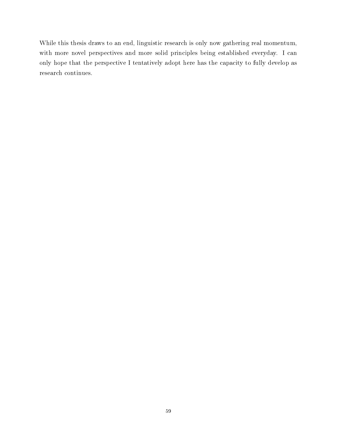While this thesis draws to an end, linguistic research is only now gathering real momentum, with more novel perspectives and more solid principles being established everyday. I can only hope that the perspective I tentatively adopt here has the capacity to fully develop as research continues.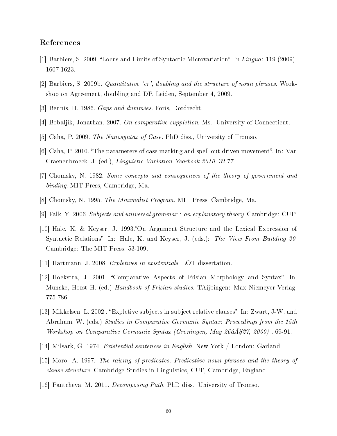## References

- [1] Barbiers, S. 2009. "Locus and Limits of Syntactic Microvariation". In Lingua: 119 (2009), 1607-1623.
- [2] Barbiers, S. 2009b. Quantitative 'er', doubling and the structure of noun phrases. Workshop on Agreement, doubling and DP. Leiden, September 4, 2009.
- [3] Bennis, H. 1986. Gaps and dummies. Foris, Dordrecht.
- [4] Bobaljik, Jonathan. 2007. On comparative suppletion. Ms., University of Connecticut.
- [5] Caha, P. 2009. The Nanosyntax of Case. PhD diss., University of Tromso.
- [6] Caha, P. 2010. "The parameters of case marking and spell out driven movement". In: Van Craenenbroeck, J. (ed.), Linguistic Variation Yearbook 2010. 32-77.
- [7] Chomsky, N. 1982. Some concepts and consequences of the theory of government and binding. MIT Press, Cambridge, Ma.
- [8] Chomsky, N. 1995. The Minimalist Program. MIT Press, Cambridge, Ma.
- [9] Falk, Y. 2006. Subjects and universal grammar : an explanatory theory. Cambridge: CUP.
- [10] Hale, K. & Keyser, J. 1993. On Argument Structure and the Lexical Expression of Syntactic Relations". In: Hale, K. and Keyser, J. (eds.): The View From Building 20. Cambridge: The MIT Press. 53-109.
- [11] Hartmann, J. 2008. Expletives in existentials. LOT dissertation.
- [12] Hoekstra, J. 2001. Comparative Aspects of Frisian Morphology and Syntax. In: Munske, Horst H. (ed.) *Handbook of Frisian studies*. TAijbingen: Max Niemeyer Verlag, 775-786.
- [13] Mikkelsen, L. 2002 . Expletive subjects in subject relative clauses. In: Zwart, J-W. and Abraham, W. (eds.) Studies in Comparative Germanic Syntax: Proceedings from the 15th Workshop on Comparative Germanic Syntax (Groningen, May 26 $\hat{a}A\hat{S}27$ , 2000). 69-91.
- [14] Milsark, G. 1974. Existential sentences in English. New York / London: Garland.
- [15] Moro, A. 1997. The raising of predicates. Predicative noun phrases and the theory of clause structure. Cambridge Studies in Linguistics, CUP, Cambridge, England.
- [16] Pantcheva, M. 2011. Decomposing Path. PhD diss., University of Tromso.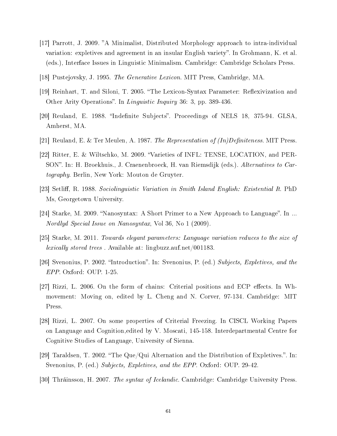- [17] Parrott, J. 2009. A Minimalist, Distributed Morphology approach to intra-individual variation: expletives and agreement in an insular English variety". In Grohmann, K. et al. (eds.), Interface Issues in Linguistic Minimalism. Cambridge: Cambridge Scholars Press.
- [18] Pustejovsky, J. 1995. The Generative Lexicon. MIT Press, Cambridge, MA.
- [19] Reinhart, T. and Siloni, T. 2005. "The Lexicon-Syntax Parameter: Reflexivization and Other Arity Operations". In *Linguistic Inquiry* 36: 3, pp. 389-436.
- [20] Reuland, E. 1988. "Indefinite Subjects". Proceedings of NELS 18, 375-94. GLSA, Amherst, MA.
- [21] Reuland, E. & Ter Meulen, A. 1987. The Representation of  $(In)Definiteness$ . MIT Press.
- [22] Ritter, E. & Wiltschko, M. 2009. Varieties of INFL: TENSE, LOCATION, and PER-SON". In: H. Broekhuis., J. Craenenbroeck, H. van Riemsdijk (eds.). Alternatives to Cartography. Berlin, New York: Mouton de Gruyter.
- [23] Setliff, R. 1988. Sociolinguistic Variation in Smith Island English: Existential It. PhD Ms, Georgetown University.
- [24] Starke, M. 2009. "Nanosyntax: A Short Primer to a New Approach to Language". In ... Nordlyd Special Issue on Nanosyntax, Vol 36, No 1 (2009).
- [25] Starke, M. 2011. Towards elegant parameters: Language variation reduces to the size of lexically stored trees . Available at: lingbuzz.auf.net/001183.
- [26] Svenonius, P. 2002. "Introduction". In: Svenonius, P. (ed.) Subjects, Expletives, and the EPP. Oxford: OUP. 1-25.
- [27] Rizzi, L. 2006. On the form of chains: Criterial positions and ECP effects. In Whmovement: Moving on, edited by L. Cheng and N. Corver, 97-134. Cambridge: MIT Press.
- [28] Rizzi, L. 2007. On some properties of Criterial Freezing. In CISCL Working Papers on Language and Cognition,edited by V. Moscati, 145-158. Interdepartmental Centre for Cognitive Studies of Language, University of Sienna.
- [29] Taraldsen, T. 2002. "The Que/Qui Alternation and the Distribution of Expletives.". In: Svenonius, P. (ed.) Subjects, Expletives, and the EPP. Oxford: OUP. 29-42.
- [30] Thráinsson, H. 2007. The syntax of Icelandic. Cambridge: Cambridge University Press.